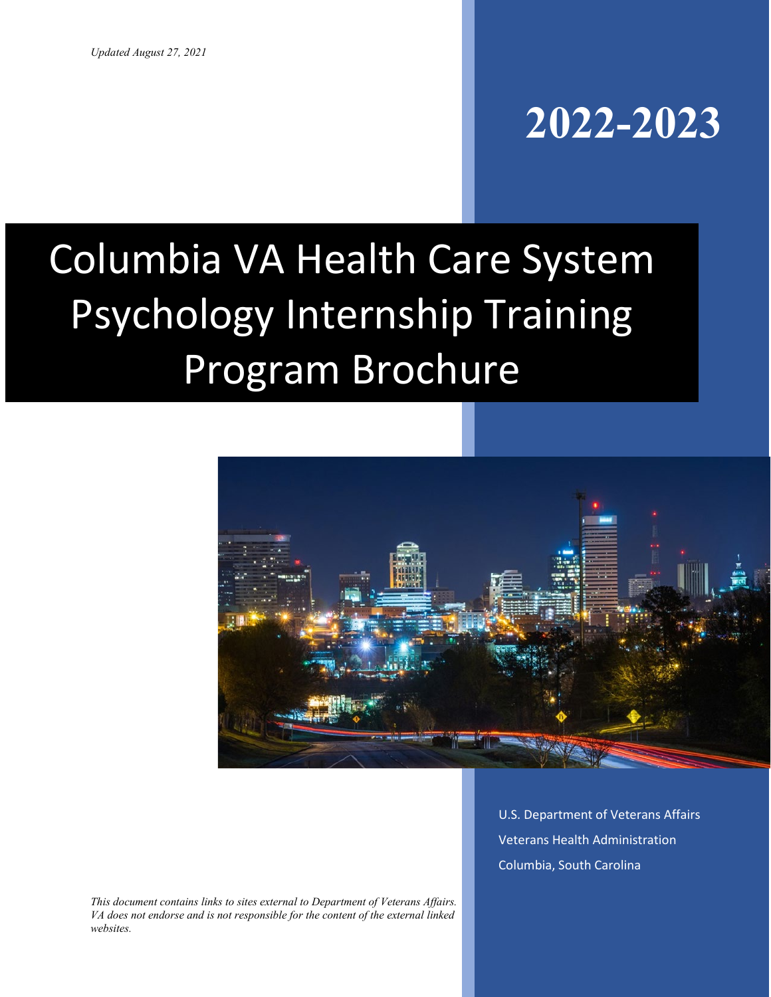## **2022-2023**

# Columbia VA Health Care System Psychology Internship Training Program Brochure



*This document contains links to sites external to Department of Veterans Affairs. VA does not endorse and is not responsible for the content of the external linked websites.*

U.S. Department of Veterans Affairs Veterans Health Administration Columbia, South Carolina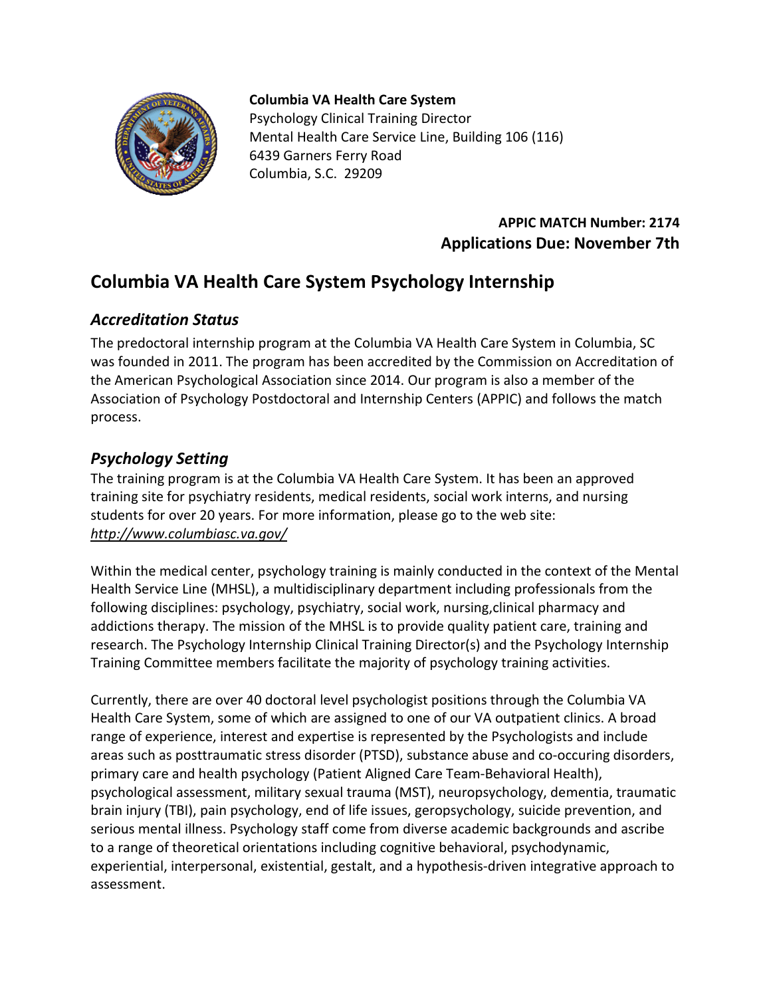

#### **Columbia VA Health Care System**

Psychology Clinical Training Director Mental Health Care Service Line, Building 106 (116) 6439 Garners Ferry Road Columbia, S.C. 29209

## **APPIC MATCH Number: 2174 Applications Due: November 7th**

## **Columbia VA Health Care System Psychology Internship**

## *Accreditation Status*

The predoctoral internship program at the Columbia VA Health Care System in Columbia, SC was founded in 2011. The program has been accredited by the Commission on Accreditation of the American Psychological Association since 2014. Our program is also a member of the Association of Psychology Postdoctoral and Internship Centers (APPIC) and follows the match process.

## *Psychology Setting*

The training program is at the Columbia VA Health Care System. It has been an approved training site for psychiatry residents, medical residents, social work interns, and nursing students for over 20 years. For more information, please go to the web site: *<http://www.columbiasc.va.gov/>*

Within the medical center, psychology training is mainly conducted in the context of the Mental Health Service Line (MHSL), a multidisciplinary department including professionals from the following disciplines: psychology, psychiatry, social work, nursing,clinical pharmacy and addictions therapy. The mission of the MHSL is to provide quality patient care, training and research. The Psychology Internship Clinical Training Director(s) and the Psychology Internship Training Committee members facilitate the majority of psychology training activities.

Currently, there are over 40 doctoral level psychologist positions through the Columbia VA Health Care System, some of which are assigned to one of our VA outpatient clinics. A broad range of experience, interest and expertise is represented by the Psychologists and include areas such as posttraumatic stress disorder (PTSD), substance abuse and co-occuring disorders, primary care and health psychology (Patient Aligned Care Team-Behavioral Health), psychological assessment, military sexual trauma (MST), neuropsychology, dementia, traumatic brain injury (TBI), pain psychology, end of life issues, geropsychology, suicide prevention, and serious mental illness. Psychology staff come from diverse academic backgrounds and ascribe to a range of theoretical orientations including cognitive behavioral, psychodynamic, experiential, interpersonal, existential, gestalt, and a hypothesis-driven integrative approach to assessment.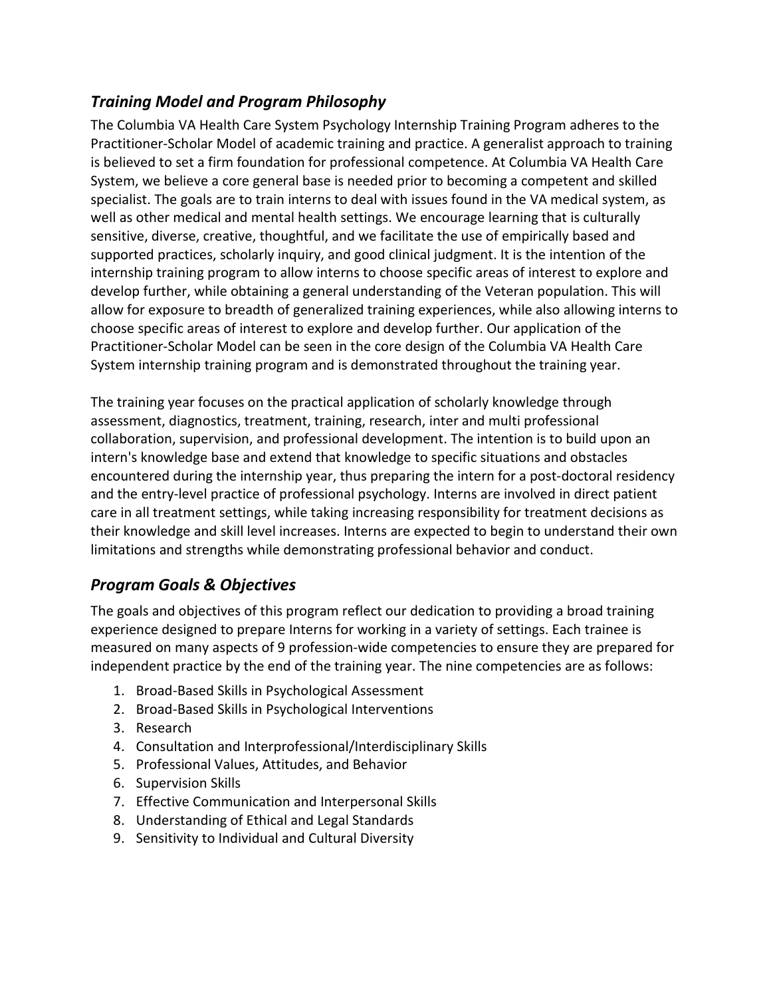## *Training Model and Program Philosophy*

The Columbia VA Health Care System Psychology Internship Training Program adheres to the Practitioner-Scholar Model of academic training and practice. A generalist approach to training is believed to set a firm foundation for professional competence. At Columbia VA Health Care System, we believe a core general base is needed prior to becoming a competent and skilled specialist. The goals are to train interns to deal with issues found in the VA medical system, as well as other medical and mental health settings. We encourage learning that is culturally sensitive, diverse, creative, thoughtful, and we facilitate the use of empirically based and supported practices, scholarly inquiry, and good clinical judgment. It is the intention of the internship training program to allow interns to choose specific areas of interest to explore and develop further, while obtaining a general understanding of the Veteran population. This will allow for exposure to breadth of generalized training experiences, while also allowing interns to choose specific areas of interest to explore and develop further. Our application of the Practitioner-Scholar Model can be seen in the core design of the Columbia VA Health Care System internship training program and is demonstrated throughout the training year.

The training year focuses on the practical application of scholarly knowledge through assessment, diagnostics, treatment, training, research, inter and multi professional collaboration, supervision, and professional development. The intention is to build upon an intern's knowledge base and extend that knowledge to specific situations and obstacles encountered during the internship year, thus preparing the intern for a post-doctoral residency and the entry-level practice of professional psychology. Interns are involved in direct patient care in all treatment settings, while taking increasing responsibility for treatment decisions as their knowledge and skill level increases. Interns are expected to begin to understand their own limitations and strengths while demonstrating professional behavior and conduct.

## *Program Goals & Objectives*

The goals and objectives of this program reflect our dedication to providing a broad training experience designed to prepare Interns for working in a variety of settings. Each trainee is measured on many aspects of 9 profession-wide competencies to ensure they are prepared for independent practice by the end of the training year. The nine competencies are as follows:

- 1. Broad-Based Skills in Psychological Assessment
- 2. Broad-Based Skills in Psychological Interventions
- 3. Research
- 4. Consultation and Interprofessional/Interdisciplinary Skills
- 5. Professional Values, Attitudes, and Behavior
- 6. Supervision Skills
- 7. Effective Communication and Interpersonal Skills
- 8. Understanding of Ethical and Legal Standards
- 9. Sensitivity to Individual and Cultural Diversity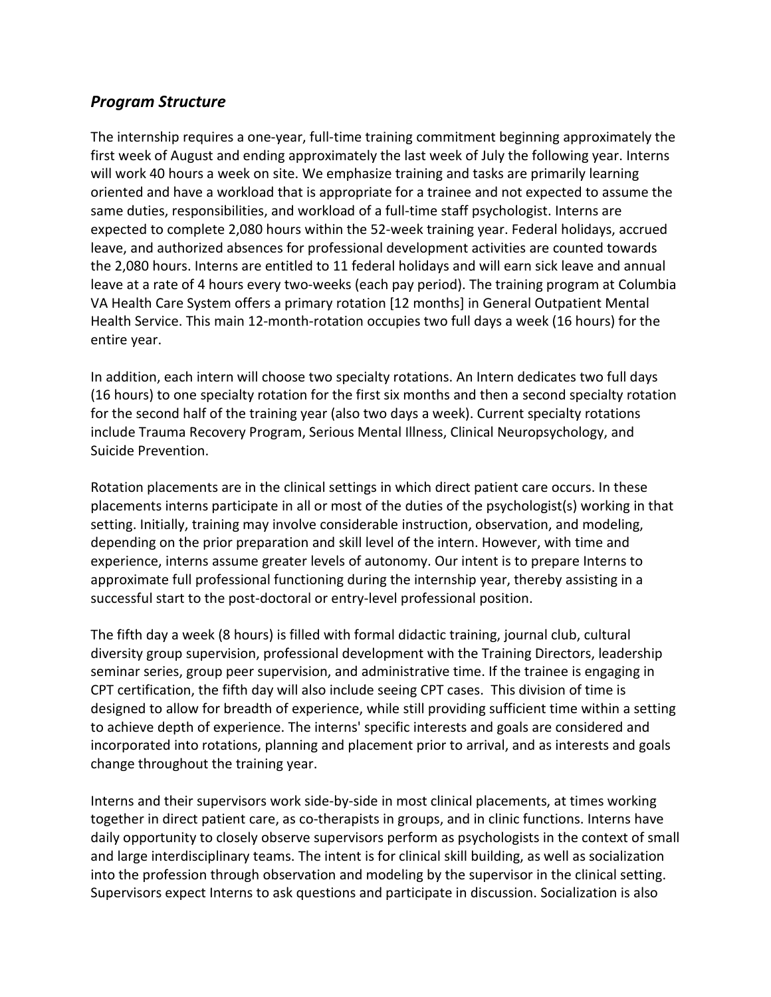#### *Program Structure*

The internship requires a one-year, full-time training commitment beginning approximately the first week of August and ending approximately the last week of July the following year. Interns will work 40 hours a week on site. We emphasize training and tasks are primarily learning oriented and have a workload that is appropriate for a trainee and not expected to assume the same duties, responsibilities, and workload of a full-time staff psychologist. Interns are expected to complete 2,080 hours within the 52-week training year. Federal holidays, accrued leave, and authorized absences for professional development activities are counted towards the 2,080 hours. Interns are entitled to 11 federal holidays and will earn sick leave and annual leave at a rate of 4 hours every two-weeks (each pay period). The training program at Columbia VA Health Care System offers a primary rotation [12 months] in General Outpatient Mental Health Service. This main 12-month-rotation occupies two full days a week (16 hours) for the entire year.

In addition, each intern will choose two specialty rotations. An Intern dedicates two full days (16 hours) to one specialty rotation for the first six months and then a second specialty rotation for the second half of the training year (also two days a week). Current specialty rotations include Trauma Recovery Program, Serious Mental Illness, Clinical Neuropsychology, and Suicide Prevention.

Rotation placements are in the clinical settings in which direct patient care occurs. In these placements interns participate in all or most of the duties of the psychologist(s) working in that setting. Initially, training may involve considerable instruction, observation, and modeling, depending on the prior preparation and skill level of the intern. However, with time and experience, interns assume greater levels of autonomy. Our intent is to prepare Interns to approximate full professional functioning during the internship year, thereby assisting in a successful start to the post-doctoral or entry-level professional position.

The fifth day a week (8 hours) is filled with formal didactic training, journal club, cultural diversity group supervision, professional development with the Training Directors, leadership seminar series, group peer supervision, and administrative time. If the trainee is engaging in CPT certification, the fifth day will also include seeing CPT cases. This division of time is designed to allow for breadth of experience, while still providing sufficient time within a setting to achieve depth of experience. The interns' specific interests and goals are considered and incorporated into rotations, planning and placement prior to arrival, and as interests and goals change throughout the training year.

Interns and their supervisors work side-by-side in most clinical placements, at times working together in direct patient care, as co-therapists in groups, and in clinic functions. Interns have daily opportunity to closely observe supervisors perform as psychologists in the context of small and large interdisciplinary teams. The intent is for clinical skill building, as well as socialization into the profession through observation and modeling by the supervisor in the clinical setting. Supervisors expect Interns to ask questions and participate in discussion. Socialization is also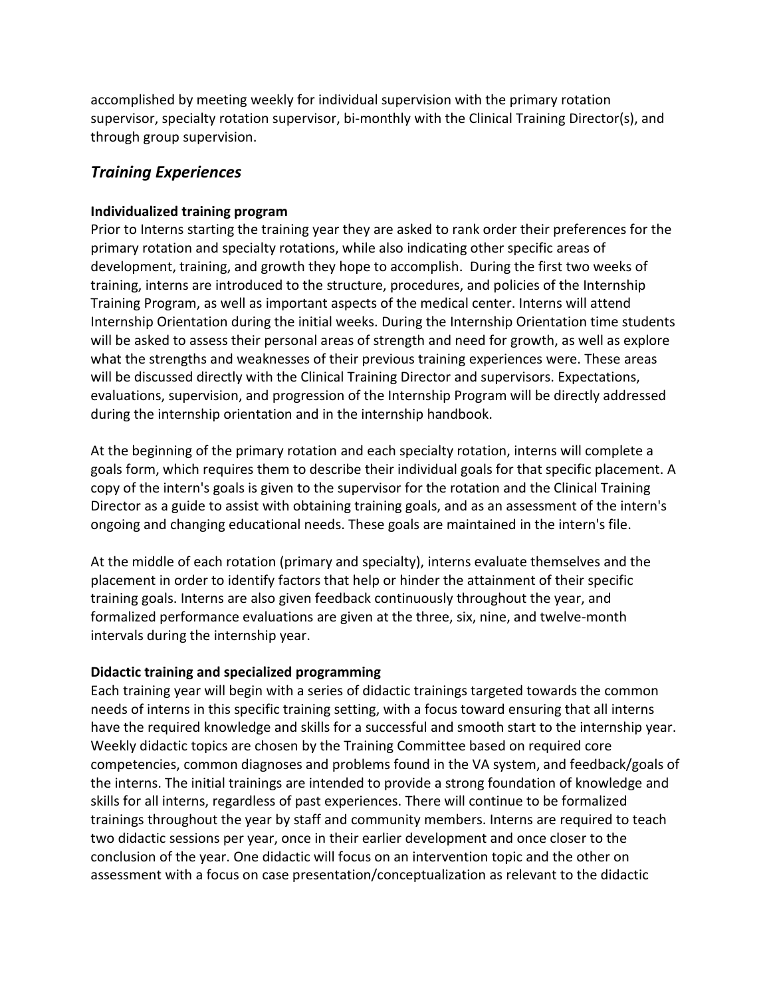accomplished by meeting weekly for individual supervision with the primary rotation supervisor, specialty rotation supervisor, bi-monthly with the Clinical Training Director(s), and through group supervision.

## *Training Experiences*

#### **Individualized training program**

Prior to Interns starting the training year they are asked to rank order their preferences for the primary rotation and specialty rotations, while also indicating other specific areas of development, training, and growth they hope to accomplish. During the first two weeks of training, interns are introduced to the structure, procedures, and policies of the Internship Training Program, as well as important aspects of the medical center. Interns will attend Internship Orientation during the initial weeks. During the Internship Orientation time students will be asked to assess their personal areas of strength and need for growth, as well as explore what the strengths and weaknesses of their previous training experiences were. These areas will be discussed directly with the Clinical Training Director and supervisors. Expectations, evaluations, supervision, and progression of the Internship Program will be directly addressed during the internship orientation and in the internship handbook.

At the beginning of the primary rotation and each specialty rotation, interns will complete a goals form, which requires them to describe their individual goals for that specific placement. A copy of the intern's goals is given to the supervisor for the rotation and the Clinical Training Director as a guide to assist with obtaining training goals, and as an assessment of the intern's ongoing and changing educational needs. These goals are maintained in the intern's file.

At the middle of each rotation (primary and specialty), interns evaluate themselves and the placement in order to identify factors that help or hinder the attainment of their specific training goals. Interns are also given feedback continuously throughout the year, and formalized performance evaluations are given at the three, six, nine, and twelve-month intervals during the internship year.

#### **Didactic training and specialized programming**

Each training year will begin with a series of didactic trainings targeted towards the common needs of interns in this specific training setting, with a focus toward ensuring that all interns have the required knowledge and skills for a successful and smooth start to the internship year. Weekly didactic topics are chosen by the Training Committee based on required core competencies, common diagnoses and problems found in the VA system, and feedback/goals of the interns. The initial trainings are intended to provide a strong foundation of knowledge and skills for all interns, regardless of past experiences. There will continue to be formalized trainings throughout the year by staff and community members. Interns are required to teach two didactic sessions per year, once in their earlier development and once closer to the conclusion of the year. One didactic will focus on an intervention topic and the other on assessment with a focus on case presentation/conceptualization as relevant to the didactic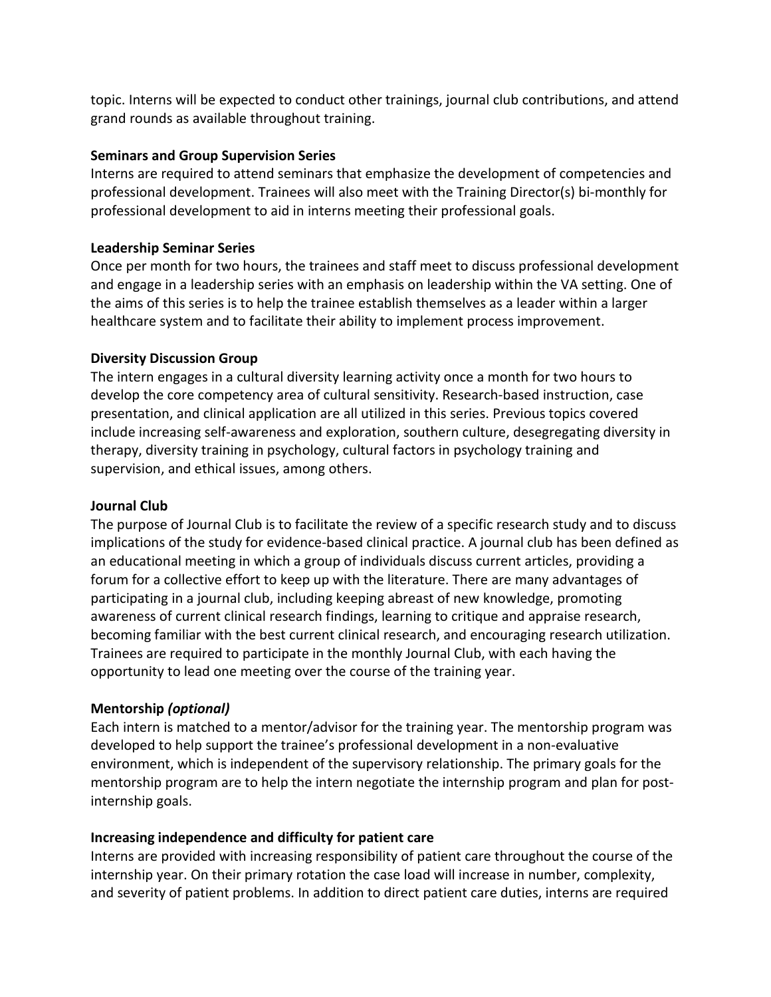topic. Interns will be expected to conduct other trainings, journal club contributions, and attend grand rounds as available throughout training.

#### **Seminars and Group Supervision Series**

Interns are required to attend seminars that emphasize the development of competencies and professional development. Trainees will also meet with the Training Director(s) bi-monthly for professional development to aid in interns meeting their professional goals.

#### **Leadership Seminar Series**

Once per month for two hours, the trainees and staff meet to discuss professional development and engage in a leadership series with an emphasis on leadership within the VA setting. One of the aims of this series is to help the trainee establish themselves as a leader within a larger healthcare system and to facilitate their ability to implement process improvement.

#### **Diversity Discussion Group**

The intern engages in a cultural diversity learning activity once a month for two hours to develop the core competency area of cultural sensitivity. Research-based instruction, case presentation, and clinical application are all utilized in this series. Previous topics covered include increasing self-awareness and exploration, southern culture, desegregating diversity in therapy, diversity training in psychology, cultural factors in psychology training and supervision, and ethical issues, among others.

#### **Journal Club**

The purpose of Journal Club is to facilitate the review of a specific research study and to discuss implications of the study for evidence-based clinical practice. A journal club has been defined as an educational meeting in which a group of individuals discuss current articles, providing a forum for a collective effort to keep up with the literature. There are many advantages of participating in a journal club, including keeping abreast of new knowledge, promoting awareness of current clinical research findings, learning to critique and appraise research, becoming familiar with the best current clinical research, and encouraging research utilization. Trainees are required to participate in the monthly Journal Club, with each having the opportunity to lead one meeting over the course of the training year.

#### **Mentorship** *(optional)*

Each intern is matched to a mentor/advisor for the training year. The mentorship program was developed to help support the trainee's professional development in a non-evaluative environment, which is independent of the supervisory relationship. The primary goals for the mentorship program are to help the intern negotiate the internship program and plan for postinternship goals.

#### **Increasing independence and difficulty for patient care**

Interns are provided with increasing responsibility of patient care throughout the course of the internship year. On their primary rotation the case load will increase in number, complexity, and severity of patient problems. In addition to direct patient care duties, interns are required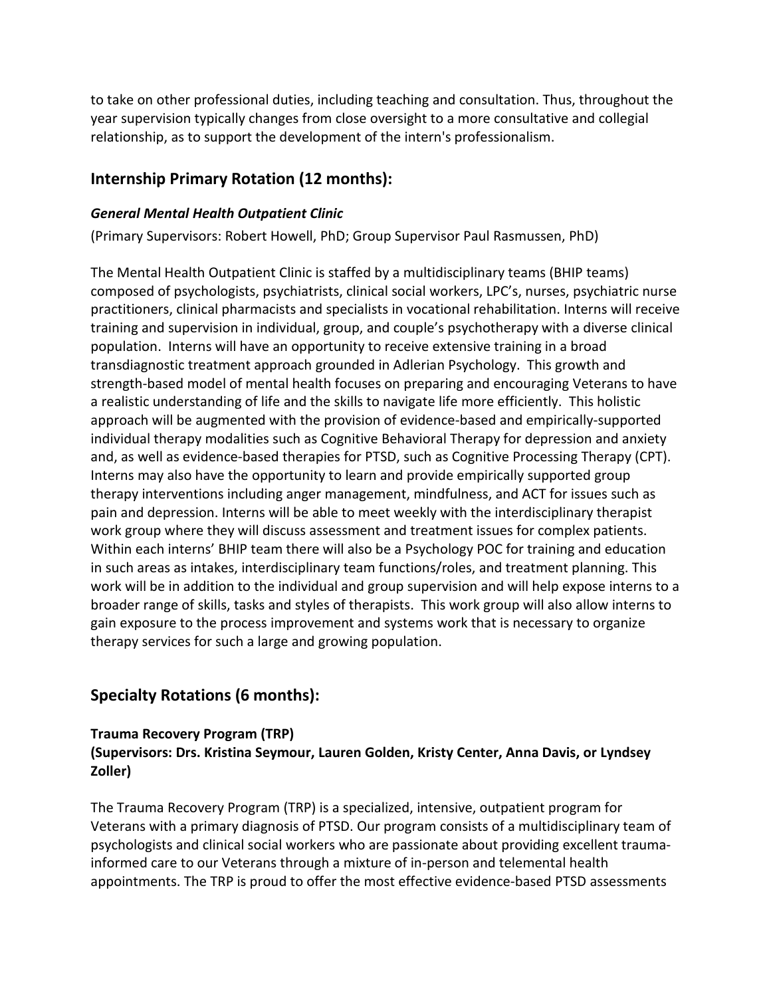to take on other professional duties, including teaching and consultation. Thus, throughout the year supervision typically changes from close oversight to a more consultative and collegial relationship, as to support the development of the intern's professionalism.

## **Internship Primary Rotation (12 months):**

#### *General Mental Health Outpatient Clinic*

(Primary Supervisors: Robert Howell, PhD; Group Supervisor Paul Rasmussen, PhD)

The Mental Health Outpatient Clinic is staffed by a multidisciplinary teams (BHIP teams) composed of psychologists, psychiatrists, clinical social workers, LPC's, nurses, psychiatric nurse practitioners, clinical pharmacists and specialists in vocational rehabilitation. Interns will receive training and supervision in individual, group, and couple's psychotherapy with a diverse clinical population. Interns will have an opportunity to receive extensive training in a broad transdiagnostic treatment approach grounded in Adlerian Psychology. This growth and strength-based model of mental health focuses on preparing and encouraging Veterans to have a realistic understanding of life and the skills to navigate life more efficiently. This holistic approach will be augmented with the provision of evidence-based and empirically-supported individual therapy modalities such as Cognitive Behavioral Therapy for depression and anxiety and, as well as evidence-based therapies for PTSD, such as Cognitive Processing Therapy (CPT). Interns may also have the opportunity to learn and provide empirically supported group therapy interventions including anger management, mindfulness, and ACT for issues such as pain and depression. Interns will be able to meet weekly with the interdisciplinary therapist work group where they will discuss assessment and treatment issues for complex patients. Within each interns' BHIP team there will also be a Psychology POC for training and education in such areas as intakes, interdisciplinary team functions/roles, and treatment planning. This work will be in addition to the individual and group supervision and will help expose interns to a broader range of skills, tasks and styles of therapists. This work group will also allow interns to gain exposure to the process improvement and systems work that is necessary to organize therapy services for such a large and growing population.

## **Specialty Rotations (6 months):**

#### **Trauma Recovery Program (TRP) (Supervisors: Drs. Kristina Seymour, Lauren Golden, Kristy Center, Anna Davis, or Lyndsey Zoller)**

The Trauma Recovery Program (TRP) is a specialized, intensive, outpatient program for Veterans with a primary diagnosis of PTSD. Our program consists of a multidisciplinary team of psychologists and clinical social workers who are passionate about providing excellent traumainformed care to our Veterans through a mixture of in-person and telemental health appointments. The TRP is proud to offer the most effective evidence-based PTSD assessments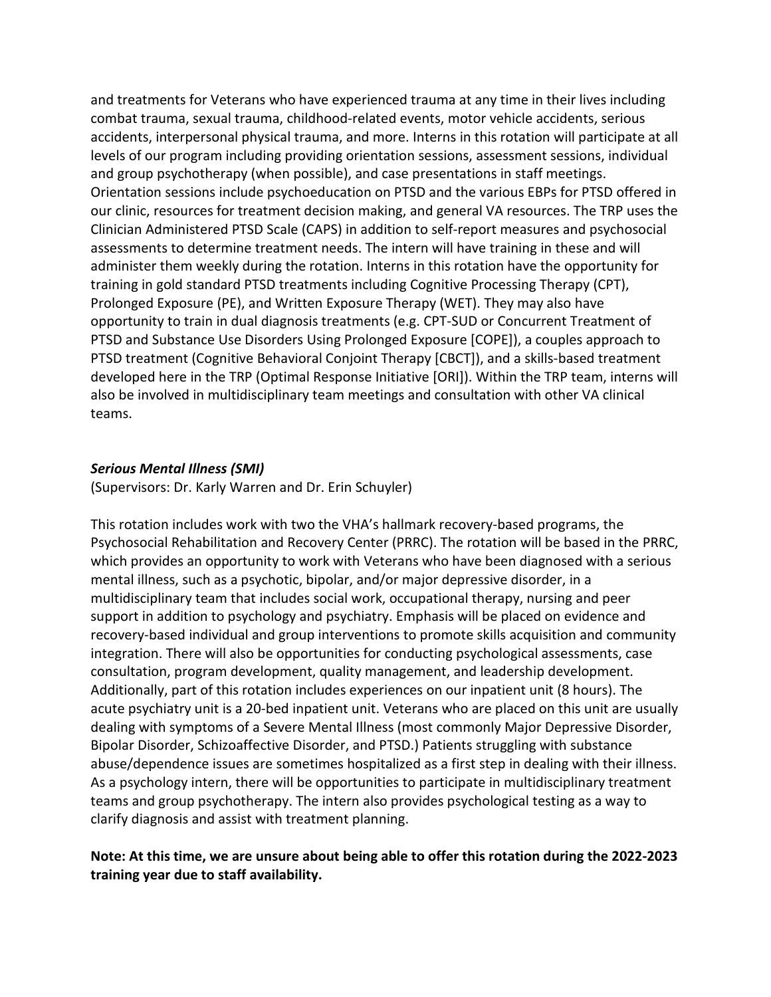and treatments for Veterans who have experienced trauma at any time in their lives including combat trauma, sexual trauma, childhood-related events, motor vehicle accidents, serious accidents, interpersonal physical trauma, and more. Interns in this rotation will participate at all levels of our program including providing orientation sessions, assessment sessions, individual and group psychotherapy (when possible), and case presentations in staff meetings. Orientation sessions include psychoeducation on PTSD and the various EBPs for PTSD offered in our clinic, resources for treatment decision making, and general VA resources. The TRP uses the Clinician Administered PTSD Scale (CAPS) in addition to self-report measures and psychosocial assessments to determine treatment needs. The intern will have training in these and will administer them weekly during the rotation. Interns in this rotation have the opportunity for training in gold standard PTSD treatments including Cognitive Processing Therapy (CPT), Prolonged Exposure (PE), and Written Exposure Therapy (WET). They may also have opportunity to train in dual diagnosis treatments (e.g. CPT-SUD or Concurrent Treatment of PTSD and Substance Use Disorders Using Prolonged Exposure [COPE]), a couples approach to PTSD treatment (Cognitive Behavioral Conjoint Therapy [CBCT]), and a skills-based treatment developed here in the TRP (Optimal Response Initiative [ORI]). Within the TRP team, interns will also be involved in multidisciplinary team meetings and consultation with other VA clinical teams.

#### *Serious Mental Illness (SMI)*

(Supervisors: Dr. Karly Warren and Dr. Erin Schuyler)

This rotation includes work with two the VHA's hallmark recovery-based programs, the Psychosocial Rehabilitation and Recovery Center (PRRC). The rotation will be based in the PRRC, which provides an opportunity to work with Veterans who have been diagnosed with a serious mental illness, such as a psychotic, bipolar, and/or major depressive disorder, in a multidisciplinary team that includes social work, occupational therapy, nursing and peer support in addition to psychology and psychiatry. Emphasis will be placed on evidence and recovery-based individual and group interventions to promote skills acquisition and community integration. There will also be opportunities for conducting psychological assessments, case consultation, program development, quality management, and leadership development. Additionally, part of this rotation includes experiences on our inpatient unit (8 hours). The acute psychiatry unit is a 20-bed inpatient unit. Veterans who are placed on this unit are usually dealing with symptoms of a Severe Mental Illness (most commonly Major Depressive Disorder, Bipolar Disorder, Schizoaffective Disorder, and PTSD.) Patients struggling with substance abuse/dependence issues are sometimes hospitalized as a first step in dealing with their illness. As a psychology intern, there will be opportunities to participate in multidisciplinary treatment teams and group psychotherapy. The intern also provides psychological testing as a way to clarify diagnosis and assist with treatment planning.

#### **Note: At this time, we are unsure about being able to offer this rotation during the 2022-2023 training year due to staff availability.**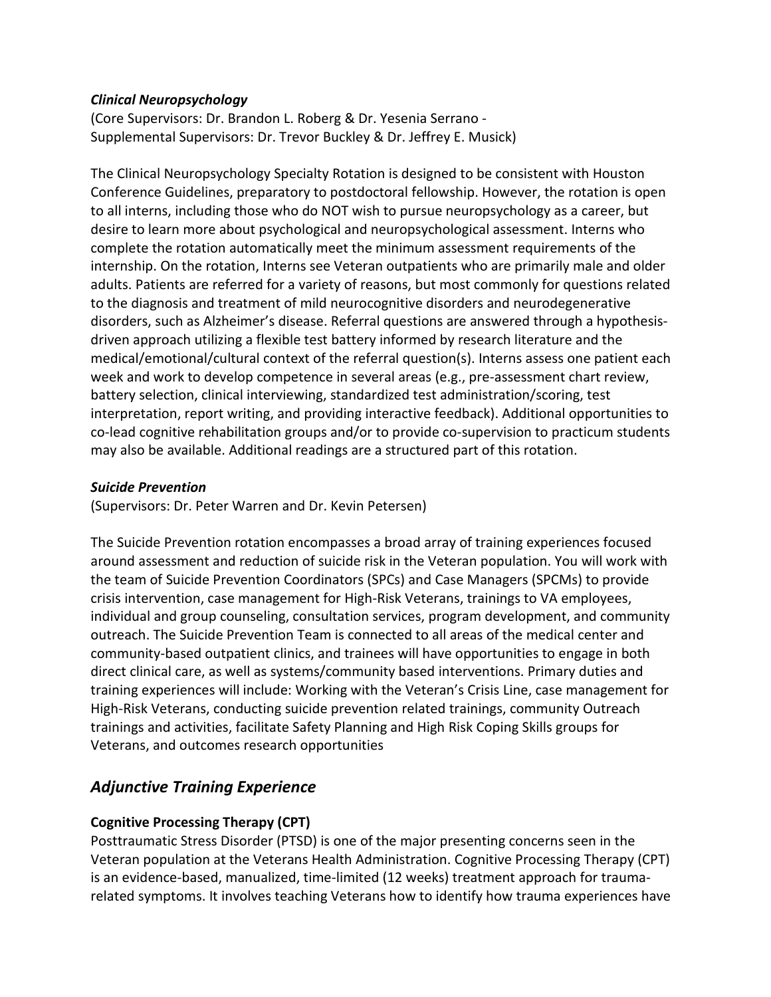#### *Clinical Neuropsychology*

(Core Supervisors: Dr. Brandon L. Roberg & Dr. Yesenia Serrano - Supplemental Supervisors: Dr. Trevor Buckley & Dr. Jeffrey E. Musick)

The Clinical Neuropsychology Specialty Rotation is designed to be consistent with Houston Conference Guidelines, preparatory to postdoctoral fellowship. However, the rotation is open to all interns, including those who do NOT wish to pursue neuropsychology as a career, but desire to learn more about psychological and neuropsychological assessment. Interns who complete the rotation automatically meet the minimum assessment requirements of the internship. On the rotation, Interns see Veteran outpatients who are primarily male and older adults. Patients are referred for a variety of reasons, but most commonly for questions related to the diagnosis and treatment of mild neurocognitive disorders and neurodegenerative disorders, such as Alzheimer's disease. Referral questions are answered through a hypothesisdriven approach utilizing a flexible test battery informed by research literature and the medical/emotional/cultural context of the referral question(s). Interns assess one patient each week and work to develop competence in several areas (e.g., pre-assessment chart review, battery selection, clinical interviewing, standardized test administration/scoring, test interpretation, report writing, and providing interactive feedback). Additional opportunities to co-lead cognitive rehabilitation groups and/or to provide co-supervision to practicum students may also be available. Additional readings are a structured part of this rotation.

#### *Suicide Prevention*

(Supervisors: Dr. Peter Warren and Dr. Kevin Petersen)

The Suicide Prevention rotation encompasses a broad array of training experiences focused around assessment and reduction of suicide risk in the Veteran population. You will work with the team of Suicide Prevention Coordinators (SPCs) and Case Managers (SPCMs) to provide crisis intervention, case management for High-Risk Veterans, trainings to VA employees, individual and group counseling, consultation services, program development, and community outreach. The Suicide Prevention Team is connected to all areas of the medical center and community-based outpatient clinics, and trainees will have opportunities to engage in both direct clinical care, as well as systems/community based interventions. Primary duties and training experiences will include: Working with the Veteran's Crisis Line, case management for High-Risk Veterans, conducting suicide prevention related trainings, community Outreach trainings and activities, facilitate Safety Planning and High Risk Coping Skills groups for Veterans, and outcomes research opportunities

## *Adjunctive Training Experience*

#### **Cognitive Processing Therapy (CPT)**

Posttraumatic Stress Disorder (PTSD) is one of the major presenting concerns seen in the Veteran population at the Veterans Health Administration. Cognitive Processing Therapy (CPT) is an evidence-based, manualized, time-limited (12 weeks) treatment approach for traumarelated symptoms. It involves teaching Veterans how to identify how trauma experiences have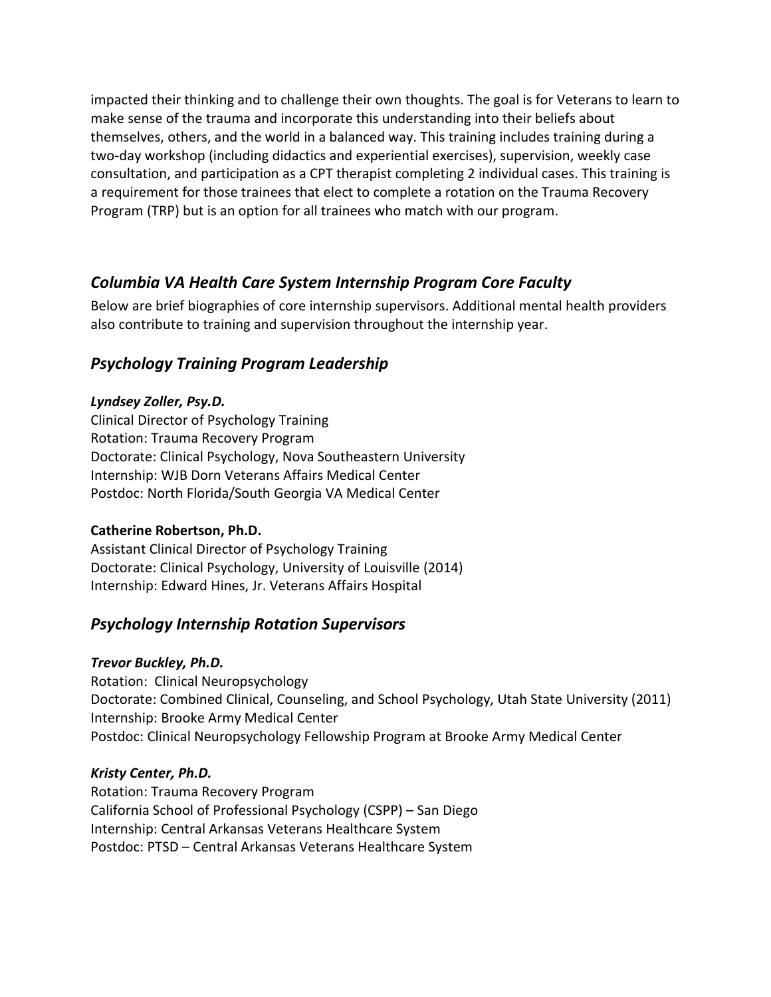impacted their thinking and to challenge their own thoughts. The goal is for Veterans to learn to make sense of the trauma and incorporate this understanding into their beliefs about themselves, others, and the world in a balanced way. This training includes training during a two-day workshop (including didactics and experiential exercises), supervision, weekly case consultation, and participation as a CPT therapist completing 2 individual cases. This training is a requirement for those trainees that elect to complete a rotation on the Trauma Recovery Program (TRP) but is an option for all trainees who match with our program.

## *Columbia VA Health Care System Internship Program Core Faculty*

Below are brief biographies of core internship supervisors. Additional mental health providers also contribute to training and supervision throughout the internship year.

## *Psychology Training Program Leadership*

#### *Lyndsey Zoller, Psy.D.*

Clinical Director of Psychology Training Rotation: Trauma Recovery Program Doctorate: Clinical Psychology, Nova Southeastern University Internship: WJB Dorn Veterans Affairs Medical Center Postdoc: North Florida/South Georgia VA Medical Center

#### **Catherine Robertson, Ph.D.**

Assistant Clinical Director of Psychology Training Doctorate: Clinical Psychology, University of Louisville (2014) Internship: Edward Hines, Jr. Veterans Affairs Hospital

#### *Psychology Internship Rotation Supervisors*

#### *Trevor Buckley, Ph.D.*

Rotation: Clinical Neuropsychology Doctorate: Combined Clinical, Counseling, and School Psychology, Utah State University (2011) Internship: Brooke Army Medical Center Postdoc: Clinical Neuropsychology Fellowship Program at Brooke Army Medical Center

#### *Kristy Center, Ph.D.*

Rotation: Trauma Recovery Program California School of Professional Psychology (CSPP) – San Diego Internship: Central Arkansas Veterans Healthcare System Postdoc: PTSD – Central Arkansas Veterans Healthcare System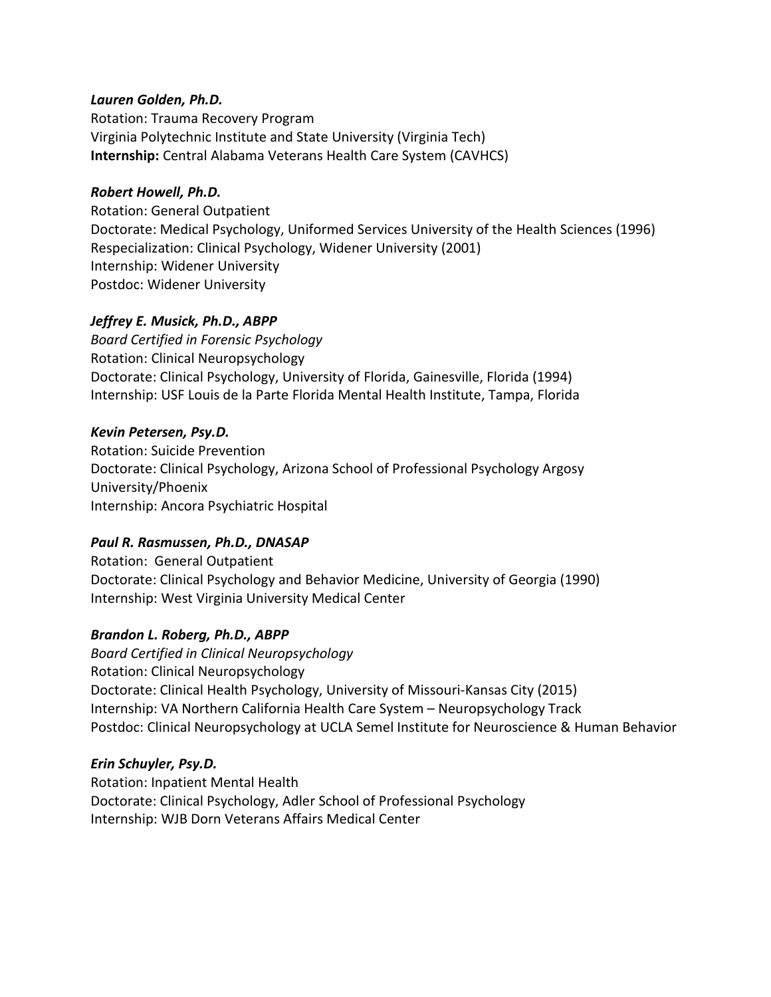#### *Lauren Golden, Ph.D.*

Rotation: Trauma Recovery Program Virginia Polytechnic Institute and State University (Virginia Tech) **Internship:** Central Alabama Veterans Health Care System (CAVHCS)

#### *Robert Howell, Ph.D.*

Rotation: General Outpatient Doctorate: Medical Psychology, Uniformed Services University of the Health Sciences (1996) Respecialization: Clinical Psychology, Widener University (2001) Internship: Widener University Postdoc: Widener University

#### *Jeffrey E. Musick, Ph.D., ABPP*

*Board Certified in Forensic Psychology* Rotation: Clinical Neuropsychology Doctorate: Clinical Psychology, University of Florida, Gainesville, Florida (1994) Internship: USF Louis de la Parte Florida Mental Health Institute, Tampa, Florida

#### *Kevin Petersen, Psy.D.*

Rotation: Suicide Prevention Doctorate: Clinical Psychology, Arizona School of Professional Psychology Argosy University/Phoenix Internship: Ancora Psychiatric Hospital

#### *Paul R. Rasmussen, Ph.D., DNASAP*

Rotation: General Outpatient Doctorate: Clinical Psychology and Behavior Medicine, University of Georgia (1990) Internship: West Virginia University Medical Center

#### *Brandon L. Roberg, Ph.D., ABPP*

*Board Certified in Clinical Neuropsychology*  Rotation: Clinical Neuropsychology Doctorate: Clinical Health Psychology, University of Missouri-Kansas City (2015) Internship: VA Northern California Health Care System – Neuropsychology Track Postdoc: Clinical Neuropsychology at UCLA Semel Institute for Neuroscience & Human Behavior

#### *Erin Schuyler, Psy.D.*

Rotation: Inpatient Mental Health Doctorate: Clinical Psychology, Adler School of Professional Psychology Internship: WJB Dorn Veterans Affairs Medical Center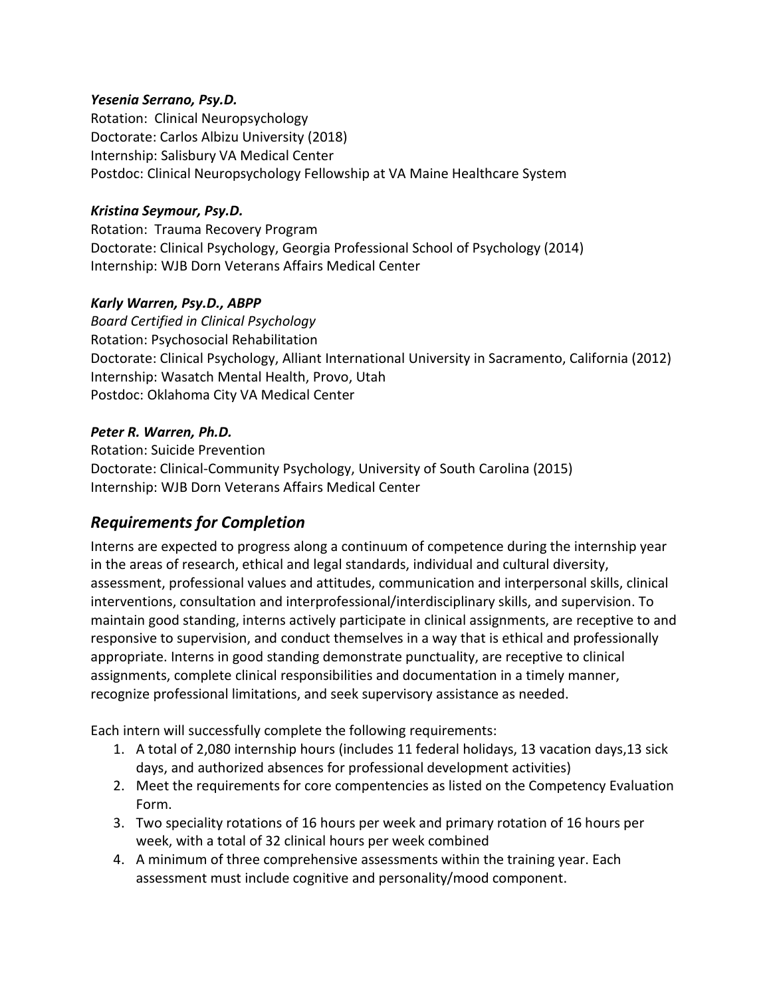#### *Yesenia Serrano, Psy.D.*

Rotation: Clinical Neuropsychology Doctorate: Carlos Albizu University (2018) Internship: Salisbury VA Medical Center Postdoc: Clinical Neuropsychology Fellowship at VA Maine Healthcare System

#### *Kristina Seymour, Psy.D.*

Rotation: Trauma Recovery Program Doctorate: Clinical Psychology, Georgia Professional School of Psychology (2014) Internship: WJB Dorn Veterans Affairs Medical Center

#### *Karly Warren, Psy.D., ABPP*

*Board Certified in Clinical Psychology* Rotation: Psychosocial Rehabilitation Doctorate: Clinical Psychology, Alliant International University in Sacramento, California (2012) Internship: Wasatch Mental Health, Provo, Utah Postdoc: Oklahoma City VA Medical Center

#### *Peter R. Warren, Ph.D.*

Rotation: Suicide Prevention Doctorate: Clinical-Community Psychology, University of South Carolina (2015) Internship: WJB Dorn Veterans Affairs Medical Center

#### *Requirements for Completion*

Interns are expected to progress along a continuum of competence during the internship year in the areas of research, ethical and legal standards, individual and cultural diversity, assessment, professional values and attitudes, communication and interpersonal skills, clinical interventions, consultation and interprofessional/interdisciplinary skills, and supervision. To maintain good standing, interns actively participate in clinical assignments, are receptive to and responsive to supervision, and conduct themselves in a way that is ethical and professionally appropriate. Interns in good standing demonstrate punctuality, are receptive to clinical assignments, complete clinical responsibilities and documentation in a timely manner, recognize professional limitations, and seek supervisory assistance as needed.

Each intern will successfully complete the following requirements:

- 1. A total of 2,080 internship hours (includes 11 federal holidays, 13 vacation days,13 sick days, and authorized absences for professional development activities)
- 2. Meet the requirements for core compentencies as listed on the Competency Evaluation Form.
- 3. Two speciality rotations of 16 hours per week and primary rotation of 16 hours per week, with a total of 32 clinical hours per week combined
- 4. A minimum of three comprehensive assessments within the training year. Each assessment must include cognitive and personality/mood component.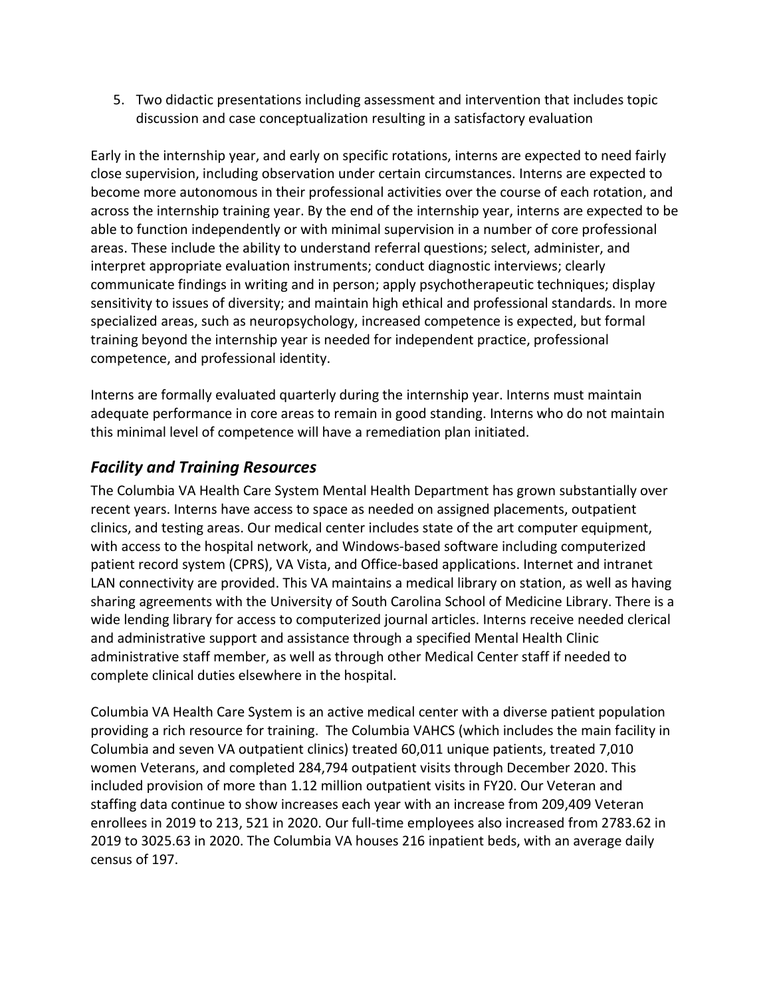5. Two didactic presentations including assessment and intervention that includes topic discussion and case conceptualization resulting in a satisfactory evaluation

Early in the internship year, and early on specific rotations, interns are expected to need fairly close supervision, including observation under certain circumstances. Interns are expected to become more autonomous in their professional activities over the course of each rotation, and across the internship training year. By the end of the internship year, interns are expected to be able to function independently or with minimal supervision in a number of core professional areas. These include the ability to understand referral questions; select, administer, and interpret appropriate evaluation instruments; conduct diagnostic interviews; clearly communicate findings in writing and in person; apply psychotherapeutic techniques; display sensitivity to issues of diversity; and maintain high ethical and professional standards. In more specialized areas, such as neuropsychology, increased competence is expected, but formal training beyond the internship year is needed for independent practice, professional competence, and professional identity.

Interns are formally evaluated quarterly during the internship year. Interns must maintain adequate performance in core areas to remain in good standing. Interns who do not maintain this minimal level of competence will have a remediation plan initiated.

## *Facility and Training Resources*

The Columbia VA Health Care System Mental Health Department has grown substantially over recent years. Interns have access to space as needed on assigned placements, outpatient clinics, and testing areas. Our medical center includes state of the art computer equipment, with access to the hospital network, and Windows-based software including computerized patient record system (CPRS), VA Vista, and Office-based applications. Internet and intranet LAN connectivity are provided. This VA maintains a medical library on station, as well as having sharing agreements with the University of South Carolina School of Medicine Library. There is a wide lending library for access to computerized journal articles. Interns receive needed clerical and administrative support and assistance through a specified Mental Health Clinic administrative staff member, as well as through other Medical Center staff if needed to complete clinical duties elsewhere in the hospital.

Columbia VA Health Care System is an active medical center with a diverse patient population providing a rich resource for training. The Columbia VAHCS (which includes the main facility in Columbia and seven VA outpatient clinics) treated 60,011 unique patients, treated 7,010 women Veterans, and completed 284,794 outpatient visits through December 2020. This included provision of more than 1.12 million outpatient visits in FY20. Our Veteran and staffing data continue to show increases each year with an increase from 209,409 Veteran enrollees in 2019 to 213, 521 in 2020. Our full-time employees also increased from 2783.62 in 2019 to 3025.63 in 2020. The Columbia VA houses 216 inpatient beds, with an average daily census of 197.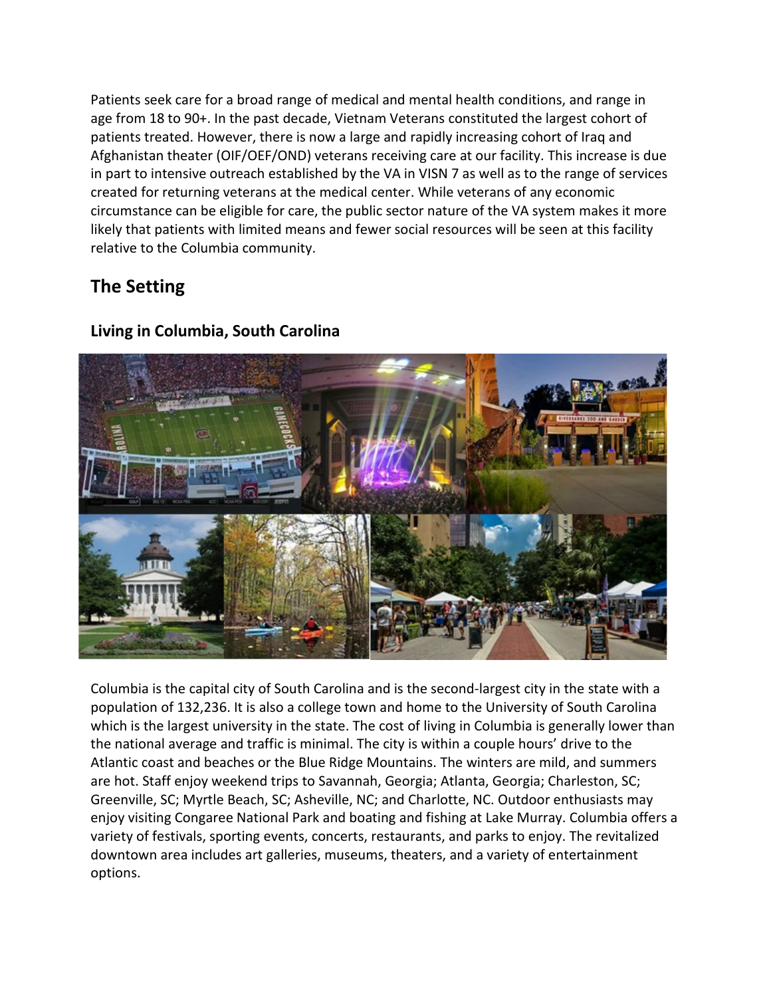Patients seek care for a broad range of medical and mental health conditions, and range in age from 18 to 90+. In the past decade, Vietnam Veterans constituted the largest cohort of patients treated. However, there is now a large and rapidly increasing cohort of Iraq and Afghanistan theater (OIF/OEF/OND) veterans receiving care at our facility. This increase is due in part to intensive outreach established by the VA in VISN 7 as well as to the range of services created for returning veterans at the medical center. While veterans of any economic circumstance can be eligible for care, the public sector nature of the VA system makes it more likely that patients with limited means and fewer social resources will be seen at this facility relative to the Columbia community.

## **The Setting**



## **Living in Columbia, South Carolina**

Columbia is the capital city of South Carolina and is the second-largest city in the state with a population of 132,236. It is also a college town and home to the University of South Carolina which is the largest university in the state. The cost of living in Columbia is generally lower than the national average and traffic is minimal. The city is within a couple hours' drive to the Atlantic coast and beaches or the Blue Ridge Mountains. The winters are mild, and summers are hot. Staff enjoy weekend trips to Savannah, Georgia; Atlanta, Georgia; Charleston, SC; Greenville, SC; Myrtle Beach, SC; Asheville, NC; and Charlotte, NC. Outdoor enthusiasts may enjoy visiting Congaree National Park and boating and fishing at Lake Murray. Columbia offers a variety of festivals, sporting events, concerts, restaurants, and parks to enjoy. The revitalized downtown area includes art galleries, museums, theaters, and a variety of entertainment options.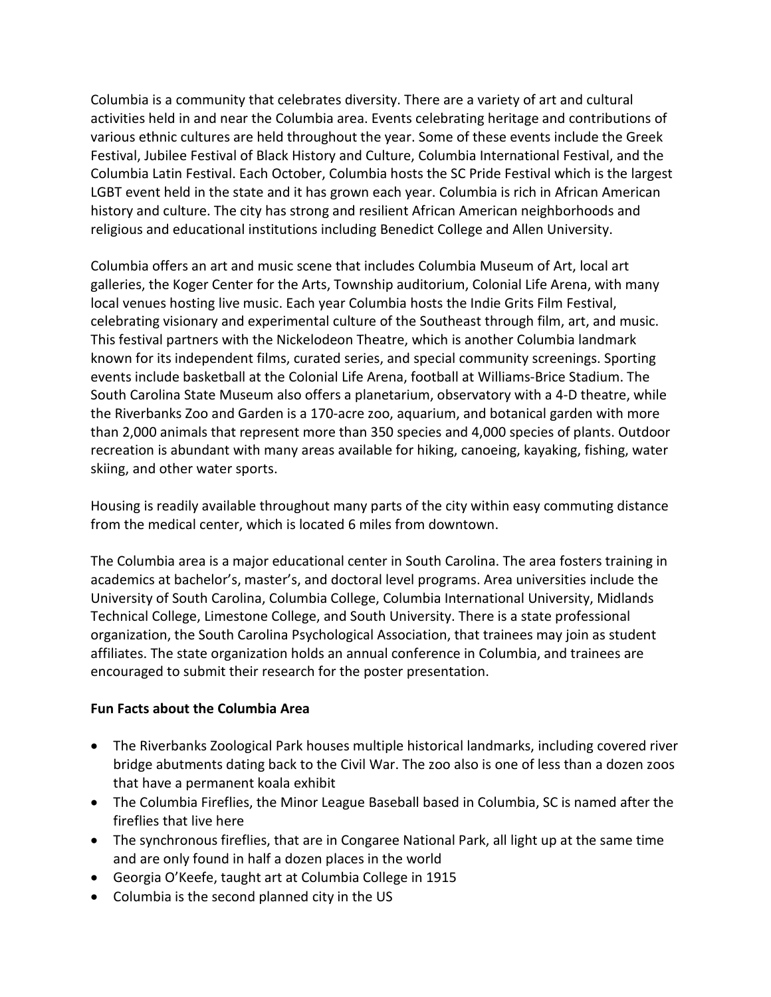Columbia is a community that celebrates diversity. There are a variety of art and cultural activities held in and near the Columbia area. Events celebrating heritage and contributions of various ethnic cultures are held throughout the year. Some of these events include the Greek Festival, Jubilee Festival of Black History and Culture, Columbia International Festival, and the Columbia Latin Festival. Each October, Columbia hosts the SC Pride Festival which is the largest LGBT event held in the state and it has grown each year. Columbia is rich in African American history and culture. The city has strong and resilient African American neighborhoods and religious and educational institutions including Benedict College and Allen University.

Columbia offers an art and music scene that includes Columbia Museum of Art, local art galleries, the Koger Center for the Arts, Township auditorium, Colonial Life Arena, with many local venues hosting live music. Each year Columbia hosts the Indie Grits Film Festival, celebrating visionary and experimental culture of the Southeast through film, art, and music. This festival partners with the Nickelodeon Theatre, which is another Columbia landmark known for its independent films, curated series, and special community screenings. Sporting events include basketball at the Colonial Life Arena, football at Williams-Brice Stadium. The South Carolina State Museum also offers a planetarium, observatory with a 4-D theatre, while the Riverbanks Zoo and Garden is a 170-acre zoo, aquarium, and botanical garden with more than 2,000 animals that represent more than 350 species and 4,000 species of plants. Outdoor recreation is abundant with many areas available for hiking, canoeing, kayaking, fishing, water skiing, and other water sports.

Housing is readily available throughout many parts of the city within easy commuting distance from the medical center, which is located 6 miles from downtown.

The Columbia area is a major educational center in South Carolina. The area fosters training in academics at bachelor's, master's, and doctoral level programs. Area universities include the University of South Carolina, Columbia College, Columbia International University, Midlands Technical College, Limestone College, and South University. There is a state professional organization, the South Carolina Psychological Association, that trainees may join as student affiliates. The state organization holds an annual conference in Columbia, and trainees are encouraged to submit their research for the poster presentation.

#### **Fun Facts about the Columbia Area**

- The Riverbanks Zoological Park houses multiple historical landmarks, including covered river bridge abutments dating back to the Civil War. The zoo also is one of less than a dozen zoos that have a permanent koala exhibit
- The Columbia Fireflies, the Minor League Baseball based in Columbia, SC is named after the fireflies that live here
- The synchronous fireflies, that are in Congaree National Park, all light up at the same time and are only found in half a dozen places in the world
- Georgia O'Keefe, taught art at Columbia College in 1915
- Columbia is the second planned city in the US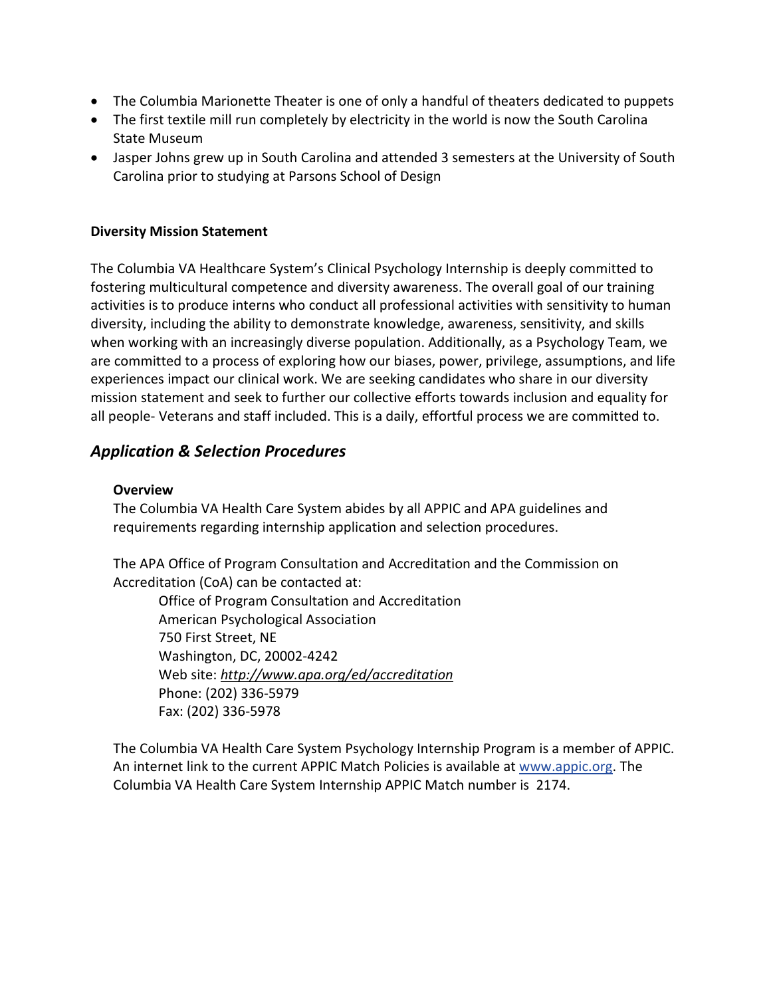- The Columbia Marionette Theater is one of only a handful of theaters dedicated to puppets
- The first textile mill run completely by electricity in the world is now the South Carolina State Museum
- Jasper Johns grew up in South Carolina and attended 3 semesters at the University of South Carolina prior to studying at Parsons School of Design

#### **Diversity Mission Statement**

The Columbia VA Healthcare System's Clinical Psychology Internship is deeply committed to fostering multicultural competence and diversity awareness. The overall goal of our training activities is to produce interns who conduct all professional activities with sensitivity to human diversity, including the ability to demonstrate knowledge, awareness, sensitivity, and skills when working with an increasingly diverse population. Additionally, as a Psychology Team, we are committed to a process of exploring how our biases, power, privilege, assumptions, and life experiences impact our clinical work. We are seeking candidates who share in our diversity mission statement and seek to further our collective efforts towards inclusion and equality for all people- Veterans and staff included. This is a daily, effortful process we are committed to.

## *Application & Selection Procedures*

#### **Overview**

The Columbia VA Health Care System abides by all APPIC and APA guidelines and requirements regarding internship application and selection procedures.

The APA Office of Program Consultation and Accreditation and the Commission on Accreditation (CoA) can be contacted at:

Office of Program Consultation and Accreditation American Psychological Association 750 First Street, NE Washington, DC, 20002-4242 Web site: *<http://www.apa.org/ed/accreditation>* Phone: (202) 336-5979 Fax: (202) 336-5978

The Columbia VA Health Care System Psychology Internship Program is a member of APPIC. An internet link to the current APPIC Match Policies is available at [www.appic.org.](http://www.appic.org/) The Columbia VA Health Care System Internship APPIC Match number is 2174.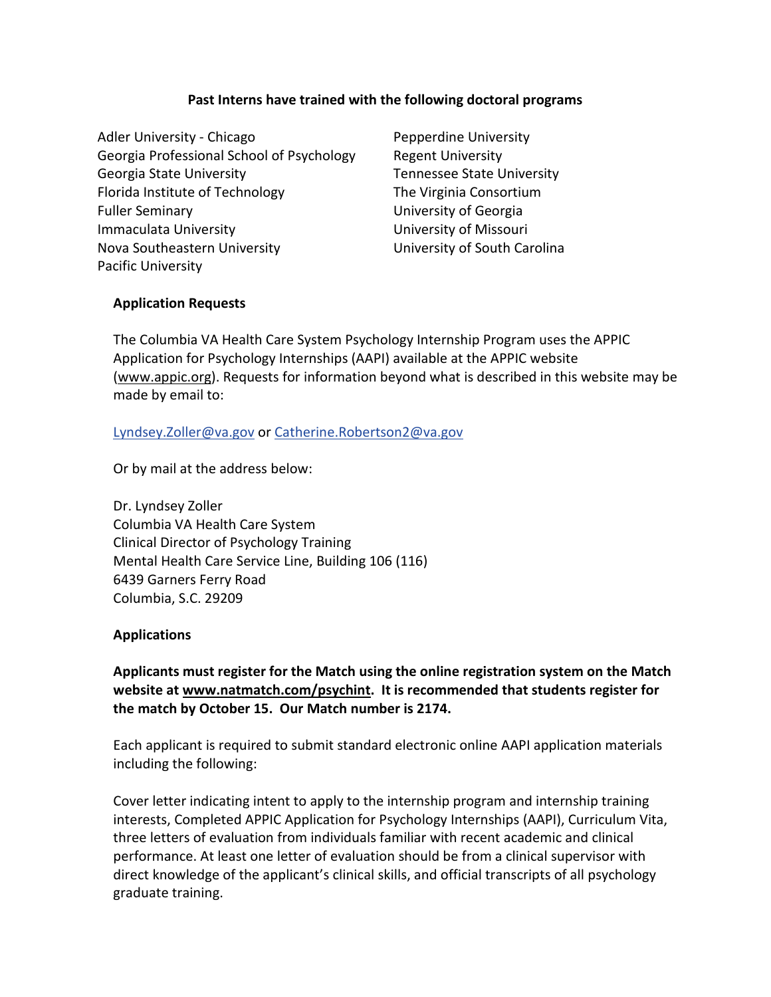#### **Past Interns have trained with the following doctoral programs**

Adler University - Chicago **Pepperdine University** Georgia Professional School of Psychology Regent University Georgia State University Tennessee State University Florida Institute of Technology The Virginia Consortium Fuller Seminary **Example 2** University of Georgia Immaculata University **Immaculata** University University of Missouri Nova Southeastern University University of South Carolina Pacific University

#### **Application Requests**

The Columbia VA Health Care System Psychology Internship Program uses the APPIC Application for Psychology Internships (AAPI) available at the APPIC website [\(www.appic.org\)](http://www.appic.org/). Requests for information beyond what is described in this website may be made by email to:

#### [Lyndsey.Zoller@va.gov](mailto:Lyndsey.Zoller@va.gov) or [Catherine.Robertson2@va.gov](mailto:Catherine.Robertson2@va.gov)

Or by mail at the address below:

Dr. Lyndsey Zoller Columbia VA Health Care System Clinical Director of Psychology Training Mental Health Care Service Line, Building 106 (116) 6439 Garners Ferry Road Columbia, S.C. 29209

#### **Applications**

**Applicants must register for the Match using the online registration system on the Match website at [www.natmatch.com/psychint.](http://www.natmatch.com/psychint) It is recommended that students register for the match by October 15. Our Match number is 2174.**

Each applicant is required to submit standard electronic online AAPI application materials including the following:

Cover letter indicating intent to apply to the internship program and internship training interests, Completed APPIC Application for Psychology Internships (AAPI), Curriculum Vita, three letters of evaluation from individuals familiar with recent academic and clinical performance. At least one letter of evaluation should be from a clinical supervisor with direct knowledge of the applicant's clinical skills, and official transcripts of all psychology graduate training.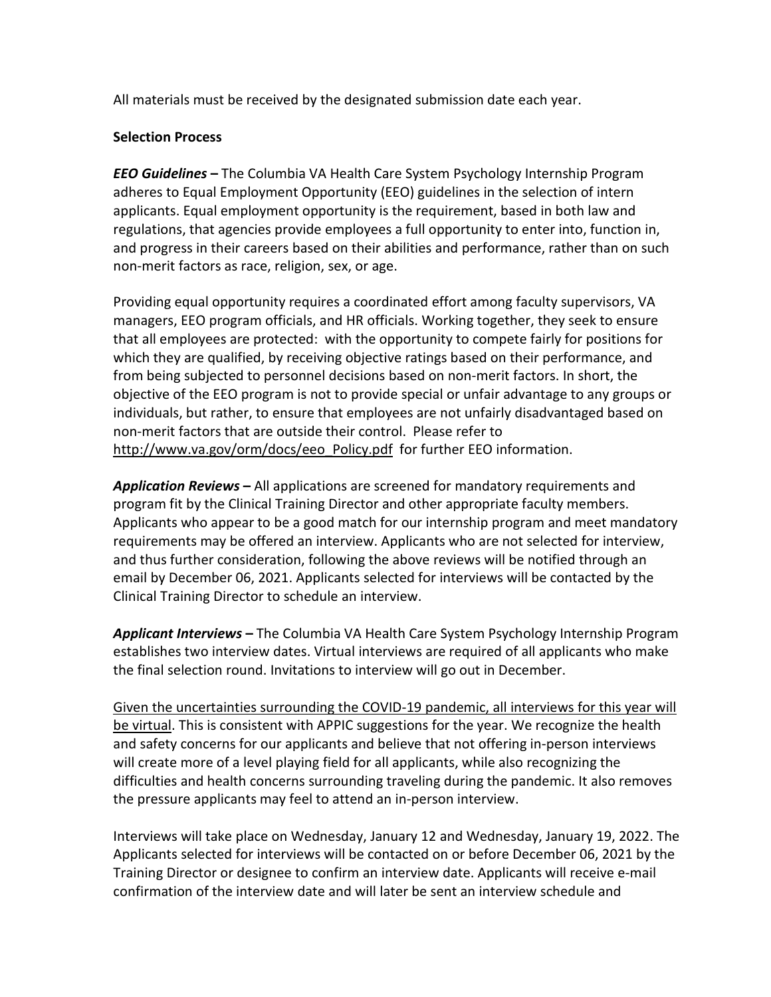All materials must be received by the designated submission date each year.

#### **Selection Process**

*EEO Guidelines* **–** The Columbia VA Health Care System Psychology Internship Program adheres to Equal Employment Opportunity (EEO) guidelines in the selection of intern applicants. Equal employment opportunity is the requirement, based in both law and regulations, that agencies provide employees a full opportunity to enter into, function in, and progress in their careers based on their abilities and performance, rather than on such non-merit factors as race, religion, sex, or age.

Providing equal opportunity requires a coordinated effort among faculty supervisors, VA managers, EEO program officials, and HR officials. Working together, they seek to ensure that all employees are protected: with the opportunity to compete fairly for positions for which they are qualified, by receiving objective ratings based on their performance, and from being subjected to personnel decisions based on non-merit factors. In short, the objective of the EEO program is not to provide special or unfair advantage to any groups or individuals, but rather, to ensure that employees are not unfairly disadvantaged based on non-merit factors that are outside their control. Please refer to [http://www.va.gov/orm/docs/eeo\\_Policy.pdf](http://www.va.gov/orm/docs/eeo_Policy.pdf) for further EEO information.

*Application Reviews* **–** All applications are screened for mandatory requirements and program fit by the Clinical Training Director and other appropriate faculty members. Applicants who appear to be a good match for our internship program and meet mandatory requirements may be offered an interview. Applicants who are not selected for interview, and thus further consideration, following the above reviews will be notified through an email by December 06, 2021. Applicants selected for interviews will be contacted by the Clinical Training Director to schedule an interview.

*Applicant Interviews* **–** The Columbia VA Health Care System Psychology Internship Program establishes two interview dates. Virtual interviews are required of all applicants who make the final selection round. Invitations to interview will go out in December.

Given the uncertainties surrounding the COVID-19 pandemic, all interviews for this year will be virtual. This is consistent with APPIC suggestions for the year. We recognize the health and safety concerns for our applicants and believe that not offering in-person interviews will create more of a level playing field for all applicants, while also recognizing the difficulties and health concerns surrounding traveling during the pandemic. It also removes the pressure applicants may feel to attend an in-person interview.

Interviews will take place on Wednesday, January 12 and Wednesday, January 19, 2022. The Applicants selected for interviews will be contacted on or before December 06, 2021 by the Training Director or designee to confirm an interview date. Applicants will receive e-mail confirmation of the interview date and will later be sent an interview schedule and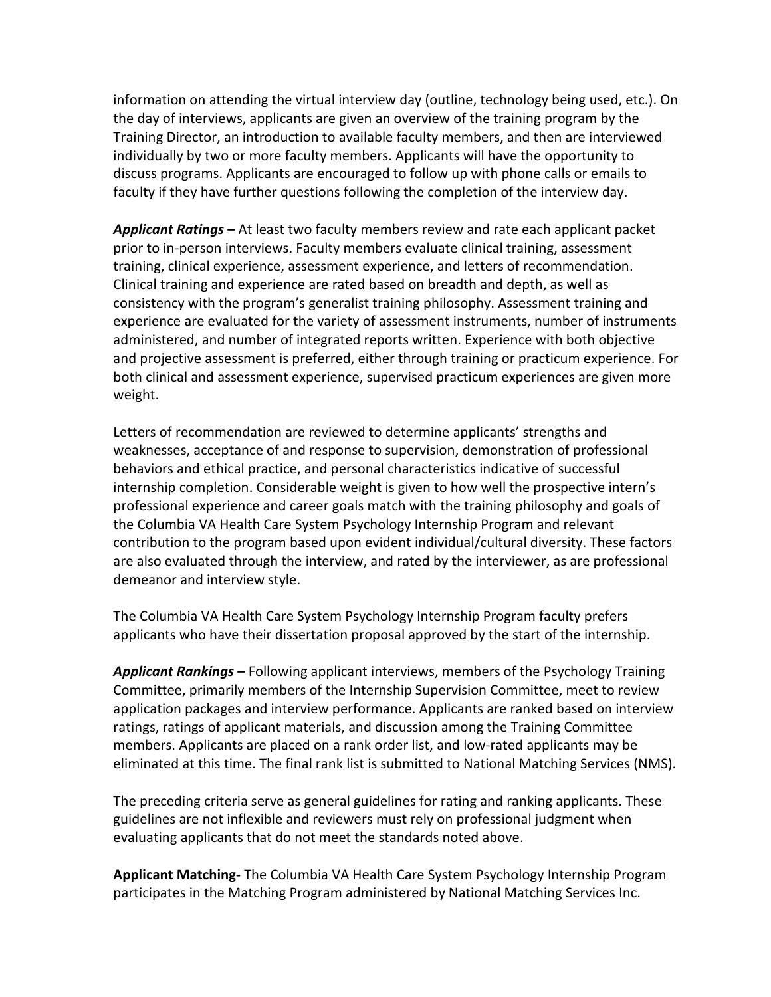information on attending the virtual interview day (outline, technology being used, etc.). On the day of interviews, applicants are given an overview of the training program by the Training Director, an introduction to available faculty members, and then are interviewed individually by two or more faculty members. Applicants will have the opportunity to discuss programs. Applicants are encouraged to follow up with phone calls or emails to faculty if they have further questions following the completion of the interview day.

*Applicant Ratings* **–** At least two faculty members review and rate each applicant packet prior to in-person interviews. Faculty members evaluate clinical training, assessment training, clinical experience, assessment experience, and letters of recommendation. Clinical training and experience are rated based on breadth and depth, as well as consistency with the program's generalist training philosophy. Assessment training and experience are evaluated for the variety of assessment instruments, number of instruments administered, and number of integrated reports written. Experience with both objective and projective assessment is preferred, either through training or practicum experience. For both clinical and assessment experience, supervised practicum experiences are given more weight.

Letters of recommendation are reviewed to determine applicants' strengths and weaknesses, acceptance of and response to supervision, demonstration of professional behaviors and ethical practice, and personal characteristics indicative of successful internship completion. Considerable weight is given to how well the prospective intern's professional experience and career goals match with the training philosophy and goals of the Columbia VA Health Care System Psychology Internship Program and relevant contribution to the program based upon evident individual/cultural diversity. These factors are also evaluated through the interview, and rated by the interviewer, as are professional demeanor and interview style.

The Columbia VA Health Care System Psychology Internship Program faculty prefers applicants who have their dissertation proposal approved by the start of the internship.

*Applicant Rankings* **–** Following applicant interviews, members of the Psychology Training Committee, primarily members of the Internship Supervision Committee, meet to review application packages and interview performance. Applicants are ranked based on interview ratings, ratings of applicant materials, and discussion among the Training Committee members. Applicants are placed on a rank order list, and low-rated applicants may be eliminated at this time. The final rank list is submitted to National Matching Services (NMS).

The preceding criteria serve as general guidelines for rating and ranking applicants. These guidelines are not inflexible and reviewers must rely on professional judgment when evaluating applicants that do not meet the standards noted above.

**Applicant Matching-** The Columbia VA Health Care System Psychology Internship Program participates in the Matching Program administered by National Matching Services Inc.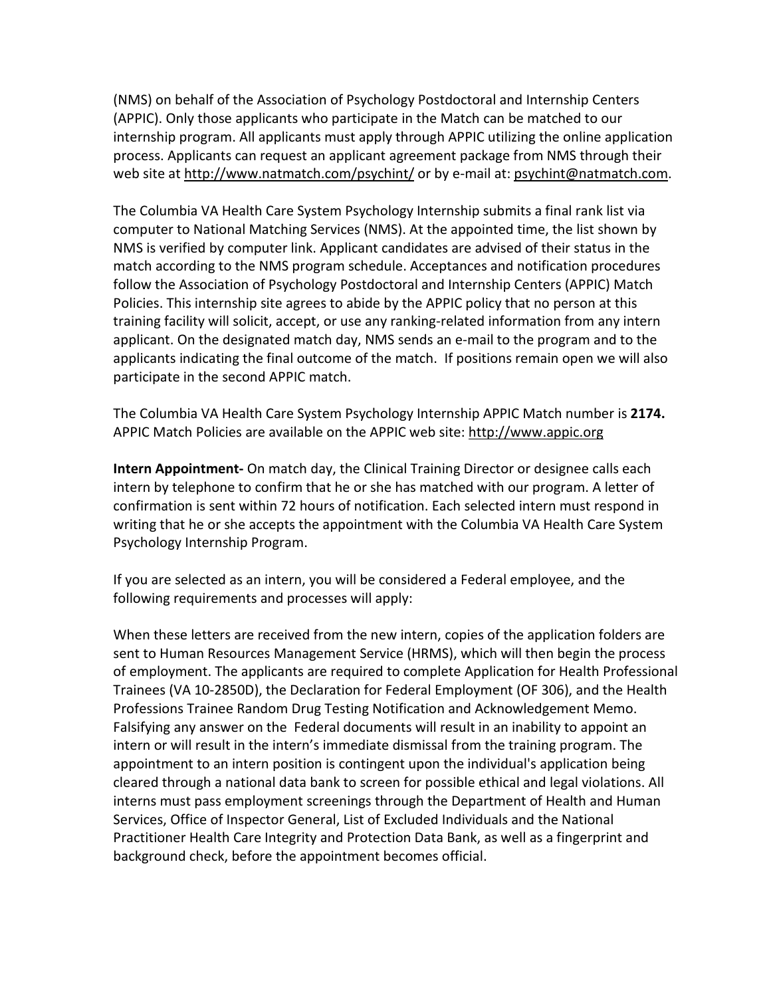(NMS) on behalf of the Association of Psychology Postdoctoral and Internship Centers (APPIC). Only those applicants who participate in the Match can be matched to our internship program. All applicants must apply through APPIC utilizing the online application process. Applicants can request an applicant agreement package from NMS through their web site at http://www.natmatch.com/psychint/ or by e-mail at: [psychint@natmatch.com.](mailto:psychint@natmatch.com)

The Columbia VA Health Care System Psychology Internship submits a final rank list via computer to National Matching Services (NMS). At the appointed time, the list shown by NMS is verified by computer link. Applicant candidates are advised of their status in the match according to the NMS program schedule. Acceptances and notification procedures follow the Association of Psychology Postdoctoral and Internship Centers (APPIC) Match Policies. This internship site agrees to abide by the APPIC policy that no person at this training facility will solicit, accept, or use any ranking-related information from any intern applicant. On the designated match day, NMS sends an e-mail to the program and to the applicants indicating the final outcome of the match. If positions remain open we will also participate in the second APPIC match.

The Columbia VA Health Care System Psychology Internship APPIC Match number is **2174.** APPIC Match Policies are available on the APPIC web site: [http://www.appic.org](http://www.appic.org/)

**Intern Appointment-** On match day, the Clinical Training Director or designee calls each intern by telephone to confirm that he or she has matched with our program. A letter of confirmation is sent within 72 hours of notification. Each selected intern must respond in writing that he or she accepts the appointment with the Columbia VA Health Care System Psychology Internship Program.

If you are selected as an intern, you will be considered a Federal employee, and the following requirements and processes will apply:

When these letters are received from the new intern, copies of the application folders are sent to Human Resources Management Service (HRMS), which will then begin the process of employment. The applicants are required to complete Application for Health Professional Trainees (VA 10-2850D), the Declaration for Federal Employment (OF 306), and the Health Professions Trainee Random Drug Testing Notification and Acknowledgement Memo. Falsifying any answer on the Federal documents will result in an inability to appoint an intern or will result in the intern's immediate dismissal from the training program. The appointment to an intern position is contingent upon the individual's application being cleared through a national data bank to screen for possible ethical and legal violations. All interns must pass employment screenings through the Department of Health and Human Services, Office of Inspector General, List of Excluded Individuals and the National Practitioner Health Care Integrity and Protection Data Bank, as well as a fingerprint and background check, before the appointment becomes official.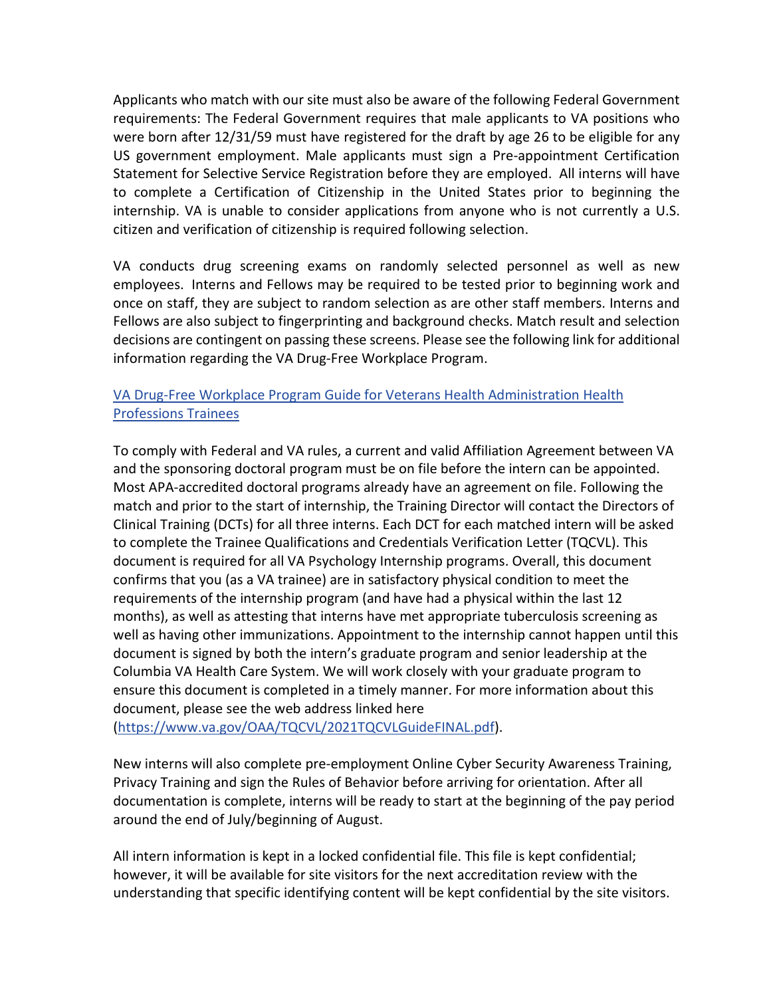Applicants who match with our site must also be aware of the following Federal Government requirements: The Federal Government requires that male applicants to VA positions who were born after 12/31/59 must have registered for the draft by age 26 to be eligible for any US government employment. Male applicants must sign a Pre-appointment Certification Statement for Selective Service Registration before they are employed. All interns will have to complete a Certification of Citizenship in the United States prior to beginning the internship. VA is unable to consider applications from anyone who is not currently a U.S. citizen and verification of citizenship is required following selection.

VA conducts drug screening exams on randomly selected personnel as well as new employees. Interns and Fellows may be required to be tested prior to beginning work and once on staff, they are subject to random selection as are other staff members. Interns and Fellows are also subject to fingerprinting and background checks. Match result and selection decisions are contingent on passing these screens. Please see the following link for additional information regarding the VA Drug-Free Workplace Program.

#### [VA Drug-Free Workplace Program Guide for Veterans Health Administration Health](https://www.va.gov/OAA/onboarding/VHA_HPTsDrug-FreeWorkplaceOAA_HRA.pdf)  [Professions Trainees](https://www.va.gov/OAA/onboarding/VHA_HPTsDrug-FreeWorkplaceOAA_HRA.pdf)

To comply with Federal and VA rules, a current and valid Affiliation Agreement between VA and the sponsoring doctoral program must be on file before the intern can be appointed. Most APA-accredited doctoral programs already have an agreement on file. Following the match and prior to the start of internship, the Training Director will contact the Directors of Clinical Training (DCTs) for all three interns. Each DCT for each matched intern will be asked to complete the Trainee Qualifications and Credentials Verification Letter (TQCVL). This document is required for all VA Psychology Internship programs. Overall, this document confirms that you (as a VA trainee) are in satisfactory physical condition to meet the requirements of the internship program (and have had a physical within the last 12 months), as well as attesting that interns have met appropriate tuberculosis screening as well as having other immunizations. Appointment to the internship cannot happen until this document is signed by both the intern's graduate program and senior leadership at the Columbia VA Health Care System. We will work closely with your graduate program to ensure this document is completed in a timely manner. For more information about this document, please see the web address linked here

[\(https://www.va.gov/OAA/TQCVL/2021TQCVLGuideFINAL.pdf\)](https://www.va.gov/OAA/TQCVL/2021TQCVLGuideFINAL.pdf).

New interns will also complete pre-employment Online Cyber Security Awareness Training, Privacy Training and sign the Rules of Behavior before arriving for orientation. After all documentation is complete, interns will be ready to start at the beginning of the pay period around the end of July/beginning of August.

All intern information is kept in a locked confidential file. This file is kept confidential; however, it will be available for site visitors for the next accreditation review with the understanding that specific identifying content will be kept confidential by the site visitors.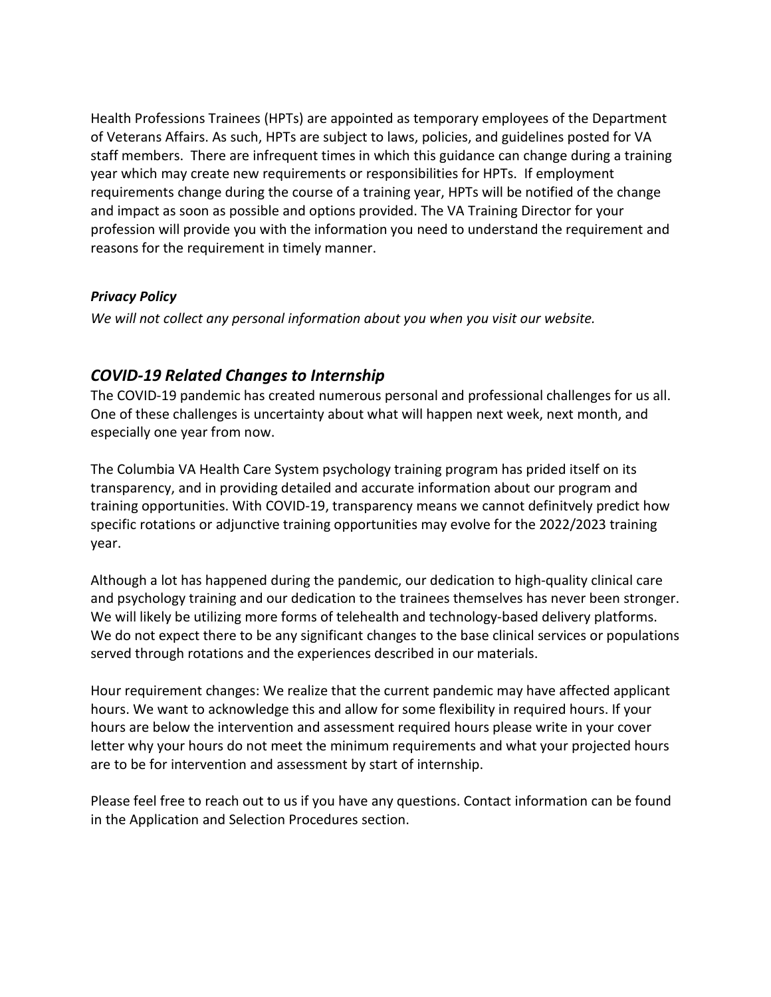Health Professions Trainees (HPTs) are appointed as temporary employees of the Department of Veterans Affairs. As such, HPTs are subject to laws, policies, and guidelines posted for VA staff members. There are infrequent times in which this guidance can change during a training year which may create new requirements or responsibilities for HPTs. If employment requirements change during the course of a training year, HPTs will be notified of the change and impact as soon as possible and options provided. The VA Training Director for your profession will provide you with the information you need to understand the requirement and reasons for the requirement in timely manner.

#### *Privacy Policy*

*We will not collect any personal information about you when you visit our website.* 

#### *COVID-19 Related Changes to Internship*

The COVID-19 pandemic has created numerous personal and professional challenges for us all. One of these challenges is uncertainty about what will happen next week, next month, and especially one year from now.

The Columbia VA Health Care System psychology training program has prided itself on its transparency, and in providing detailed and accurate information about our program and training opportunities. With COVID-19, transparency means we cannot definitvely predict how specific rotations or adjunctive training opportunities may evolve for the 2022/2023 training year.

Although a lot has happened during the pandemic, our dedication to high-quality clinical care and psychology training and our dedication to the trainees themselves has never been stronger. We will likely be utilizing more forms of telehealth and technology-based delivery platforms. We do not expect there to be any significant changes to the base clinical services or populations served through rotations and the experiences described in our materials.

Hour requirement changes: We realize that the current pandemic may have affected applicant hours. We want to acknowledge this and allow for some flexibility in required hours. If your hours are below the intervention and assessment required hours please write in your cover letter why your hours do not meet the minimum requirements and what your projected hours are to be for intervention and assessment by start of internship.

Please feel free to reach out to us if you have any questions. Contact information can be found in the Application and Selection Procedures section.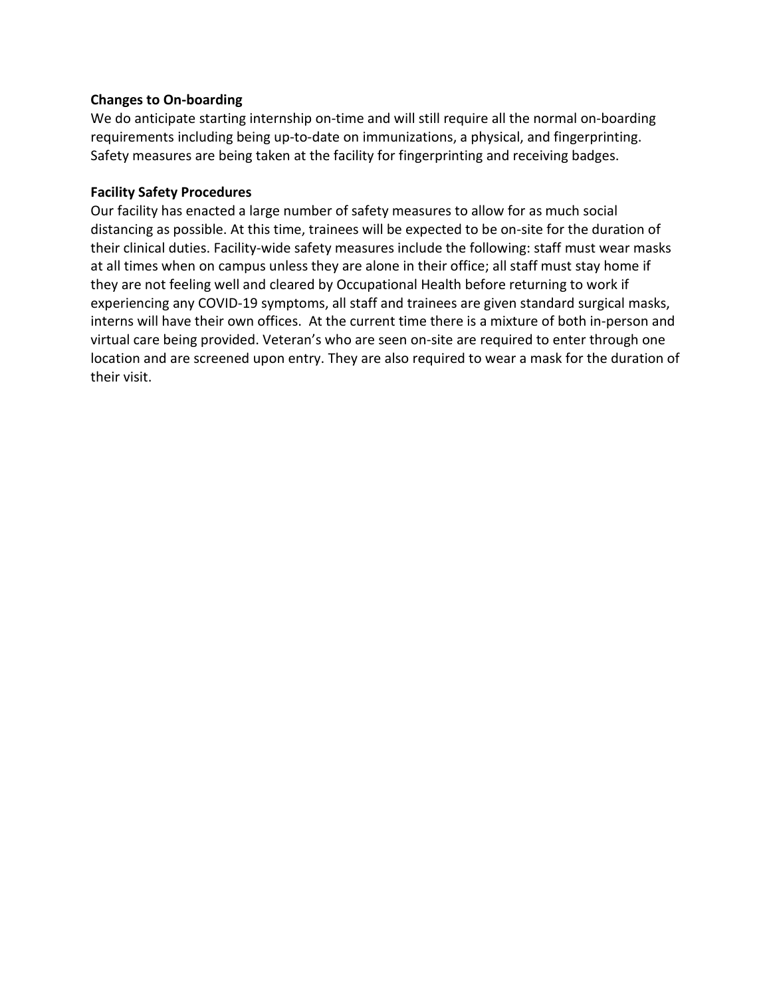#### **Changes to On-boarding**

We do anticipate starting internship on-time and will still require all the normal on-boarding requirements including being up-to-date on immunizations, a physical, and fingerprinting. Safety measures are being taken at the facility for fingerprinting and receiving badges.

#### **Facility Safety Procedures**

Our facility has enacted a large number of safety measures to allow for as much social distancing as possible. At this time, trainees will be expected to be on-site for the duration of their clinical duties. Facility-wide safety measures include the following: staff must wear masks at all times when on campus unless they are alone in their office; all staff must stay home if they are not feeling well and cleared by Occupational Health before returning to work if experiencing any COVID-19 symptoms, all staff and trainees are given standard surgical masks, interns will have their own offices. At the current time there is a mixture of both in-person and virtual care being provided. Veteran's who are seen on-site are required to enter through one location and are screened upon entry. They are also required to wear a mask for the duration of their visit.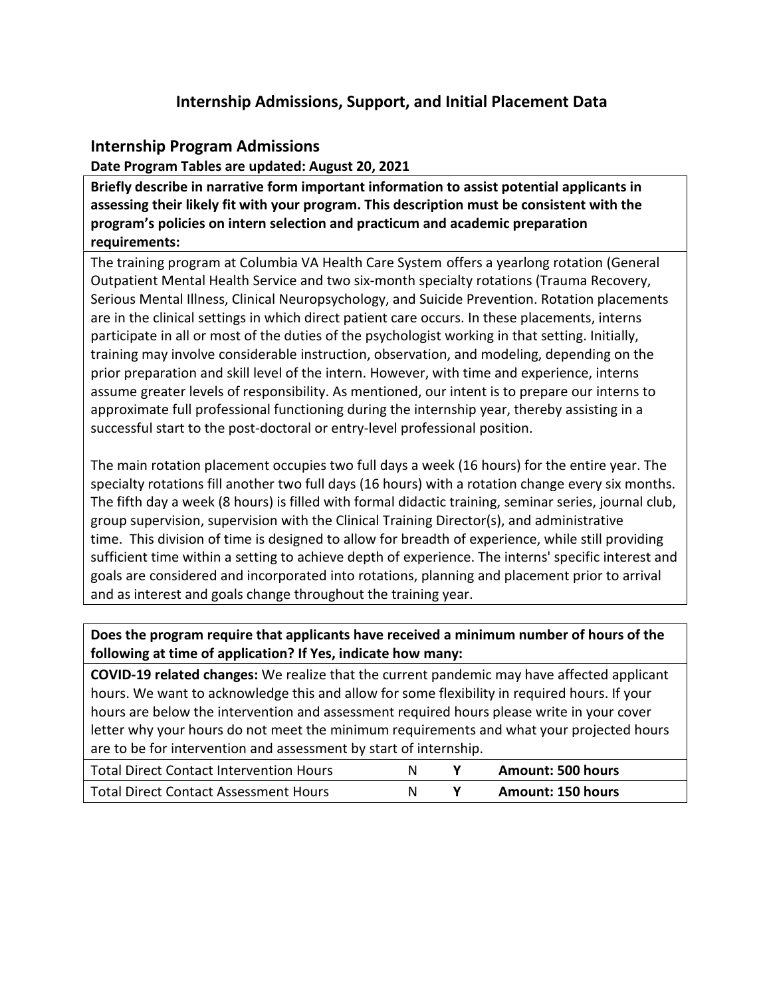## **Internship Admissions, Support, and Initial Placement Data**

#### **Internship Program Admissions**

**Date Program Tables are updated: August 20, 2021**

**Briefly describe in narrative form important information to assist potential applicants in assessing their likely fit with your program. This description must be consistent with the program's policies on intern selection and practicum and academic preparation requirements:**

The training program at Columbia VA Health Care System offers a yearlong rotation (General Outpatient Mental Health Service and two six-month specialty rotations (Trauma Recovery, Serious Mental Illness, Clinical Neuropsychology, and Suicide Prevention. Rotation placements are in the clinical settings in which direct patient care occurs. In these placements, interns participate in all or most of the duties of the psychologist working in that setting. Initially, training may involve considerable instruction, observation, and modeling, depending on the prior preparation and skill level of the intern. However, with time and experience, interns assume greater levels of responsibility. As mentioned, our intent is to prepare our interns to approximate full professional functioning during the internship year, thereby assisting in a successful start to the post-doctoral or entry-level professional position.

The main rotation placement occupies two full days a week (16 hours) for the entire year. The specialty rotations fill another two full days (16 hours) with a rotation change every six months. The fifth day a week (8 hours) is filled with formal didactic training, seminar series, journal club, group supervision, supervision with the Clinical Training Director(s), and administrative time. This division of time is designed to allow for breadth of experience, while still providing sufficient time within a setting to achieve depth of experience. The interns' specific interest and goals are considered and incorporated into rotations, planning and placement prior to arrival and as interest and goals change throughout the training year.

**Does the program require that applicants have received a minimum number of hours of the following at time of application? If Yes, indicate how many:**

**COVID-19 related changes:** We realize that the current pandemic may have affected applicant hours. We want to acknowledge this and allow for some flexibility in required hours. If your hours are below the intervention and assessment required hours please write in your cover letter why your hours do not meet the minimum requirements and what your projected hours are to be for intervention and assessment by start of internship.

| <b>Total Direct Contact Intervention Hours</b> | N | Amount: 500 hours |
|------------------------------------------------|---|-------------------|
| Total Direct Contact Assessment Hours          | N | Amount: 150 hours |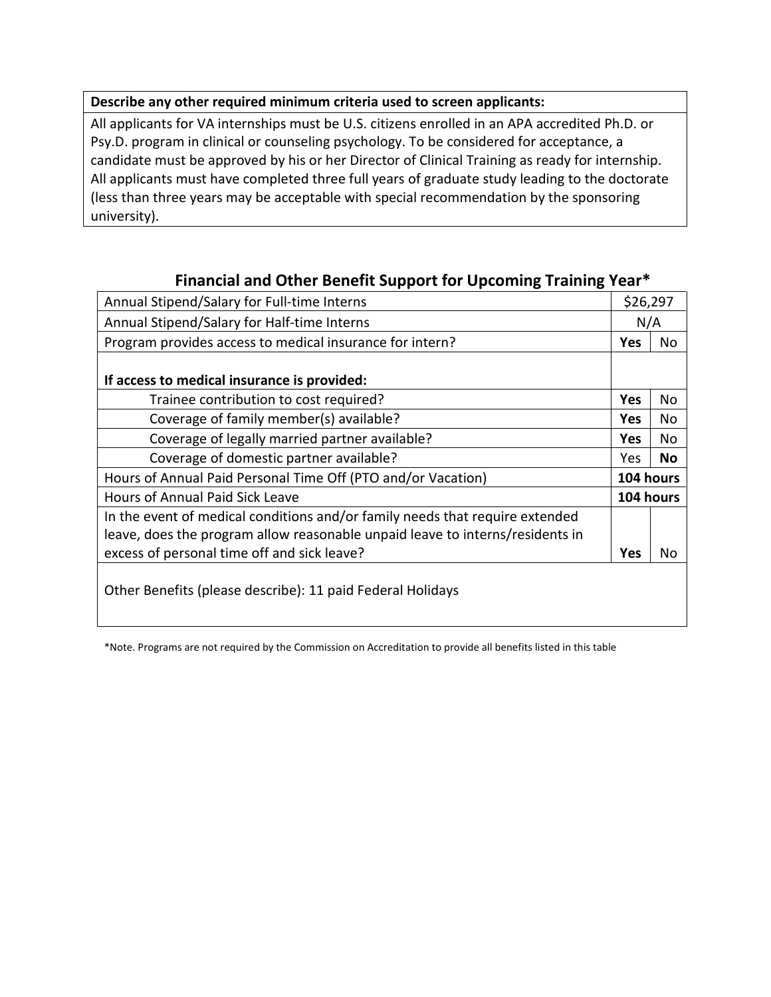#### **Describe any other required minimum criteria used to screen applicants:**

All applicants for VA internships must be U.S. citizens enrolled in an APA accredited Ph.D. or Psy.D. program in clinical or counseling psychology. To be considered for acceptance, a candidate must be approved by his or her Director of Clinical Training as ready for internship. All applicants must have completed three full years of graduate study leading to the doctorate (less than three years may be acceptable with special recommendation by the sponsoring university).

| Annual Stipend/Salary for Full-time Interns                                   |            | \$26,297  |  |
|-------------------------------------------------------------------------------|------------|-----------|--|
| Annual Stipend/Salary for Half-time Interns                                   |            | N/A       |  |
| Program provides access to medical insurance for intern?                      |            | No        |  |
|                                                                               |            |           |  |
| If access to medical insurance is provided:                                   |            |           |  |
| Trainee contribution to cost required?                                        | <b>Yes</b> | No        |  |
| Coverage of family member(s) available?                                       | <b>Yes</b> | No.       |  |
| Coverage of legally married partner available?                                | <b>Yes</b> | No.       |  |
| Coverage of domestic partner available?                                       | Yes        | No        |  |
| Hours of Annual Paid Personal Time Off (PTO and/or Vacation)                  |            | 104 hours |  |
| <b>Hours of Annual Paid Sick Leave</b>                                        | 104 hours  |           |  |
| In the event of medical conditions and/or family needs that require extended  |            |           |  |
| leave, does the program allow reasonable unpaid leave to interns/residents in |            |           |  |
| excess of personal time off and sick leave?                                   | <b>Yes</b> | No        |  |
| Other Benefits (please describe): 11 paid Federal Holidays                    |            |           |  |
|                                                                               |            |           |  |

## **Financial and Other Benefit Support for Upcoming Training Year\***

\*Note. Programs are not required by the Commission on Accreditation to provide all benefits listed in this table